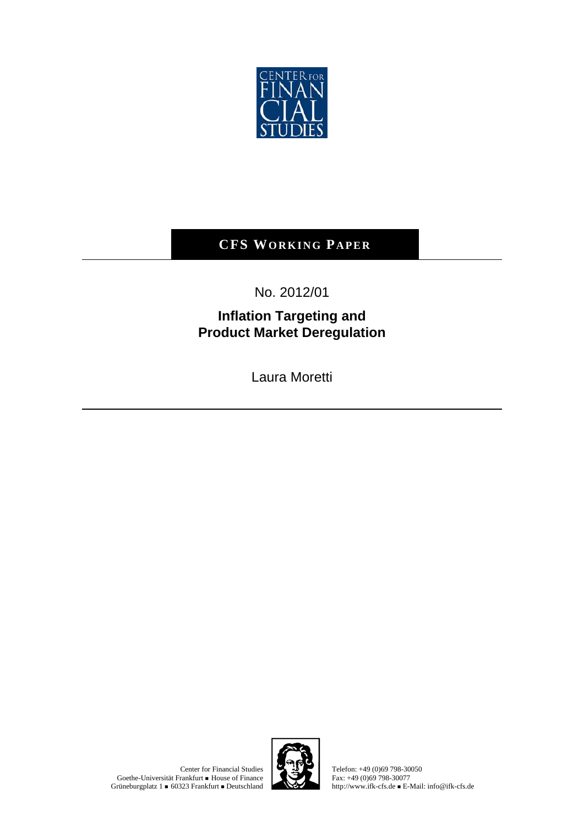

## **CFS WORKING PAPER**

No. 2012/01

## **Inflation Targeting and Product Market Deregulation**

Laura Moretti

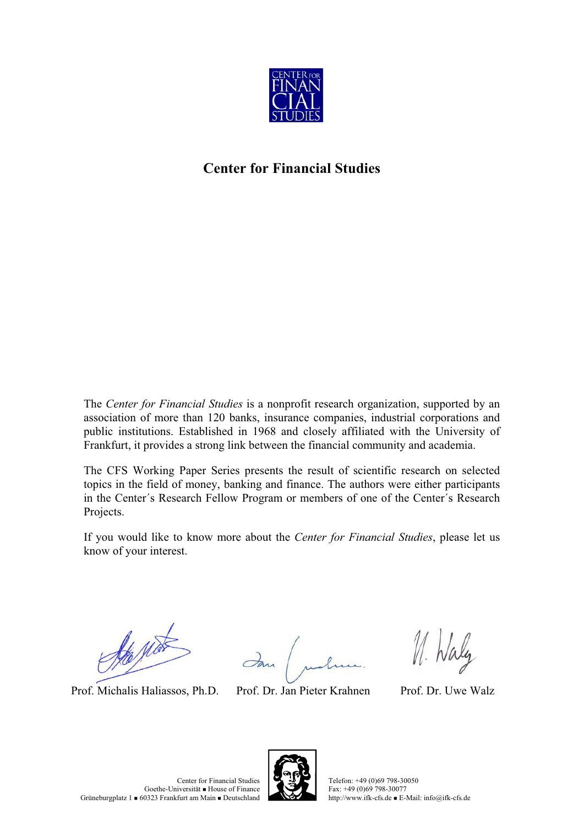

## **Center for Financial Studies**

The *Center for Financial Studies* is a nonprofit research organization, supported by an association of more than 120 banks, insurance companies, industrial corporations and public institutions. Established in 1968 and closely affiliated with the University of Frankfurt, it provides a strong link between the financial community and academia.

The CFS Working Paper Series presents the result of scientific research on selected topics in the field of money, banking and finance. The authors were either participants in the Center´s Research Fellow Program or members of one of the Center´s Research Projects.

If you would like to know more about the *Center for Financial Studies*, please let us know of your interest.

Re Not

Prof. Michalis Haliassos, Ph.D. Prof. Dr. Jan Pieter Krahnen Prof. Dr. Uwe Walz

M. Waly

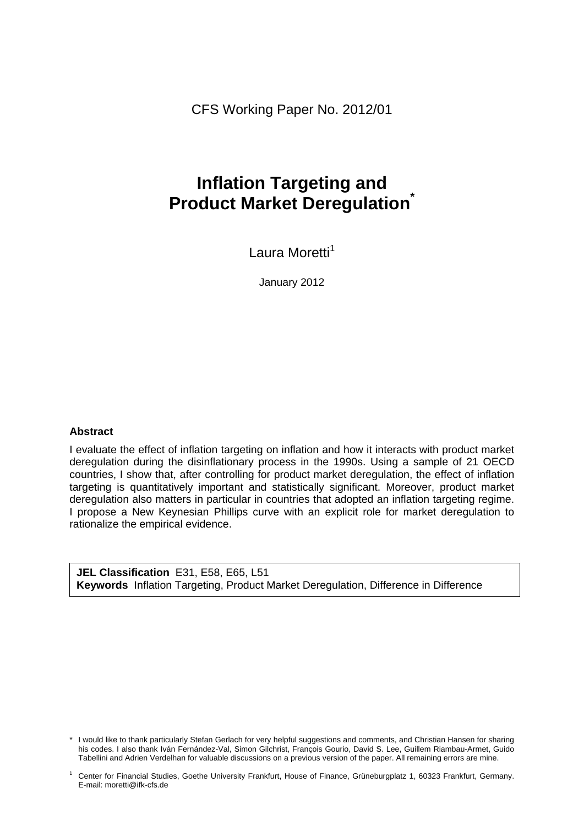CFS Working Paper No. 2012/01

## **Inflation Targeting and Product Market Deregulation\***

Laura Moretti<sup>1</sup>

January 2012

#### **Abstract**

I evaluate the effect of inflation targeting on inflation and how it interacts with product market deregulation during the disinflationary process in the 1990s. Using a sample of 21 OECD countries, I show that, after controlling for product market deregulation, the effect of inflation targeting is quantitatively important and statistically significant. Moreover, product market deregulation also matters in particular in countries that adopted an inflation targeting regime. I propose a New Keynesian Phillips curve with an explicit role for market deregulation to rationalize the empirical evidence.

**JEL Classification** E31, E58, E65, L51 **Keywords** Inflation Targeting, Product Market Deregulation, Difference in Difference

<sup>\*</sup> I would like to thank particularly Stefan Gerlach for very helpful suggestions and comments, and Christian Hansen for sharing his codes. I also thank Iván Fernández-Val, Simon Gilchrist, François Gourio, David S. Lee, Guillem Riambau-Armet, Guido Tabellini and Adrien Verdelhan for valuable discussions on a previous version of the paper. All remaining errors are mine.

<sup>1</sup> Center for Financial Studies, Goethe University Frankfurt, House of Finance, Grüneburgplatz 1, 60323 Frankfurt, Germany. E-mail: moretti@ifk-cfs.de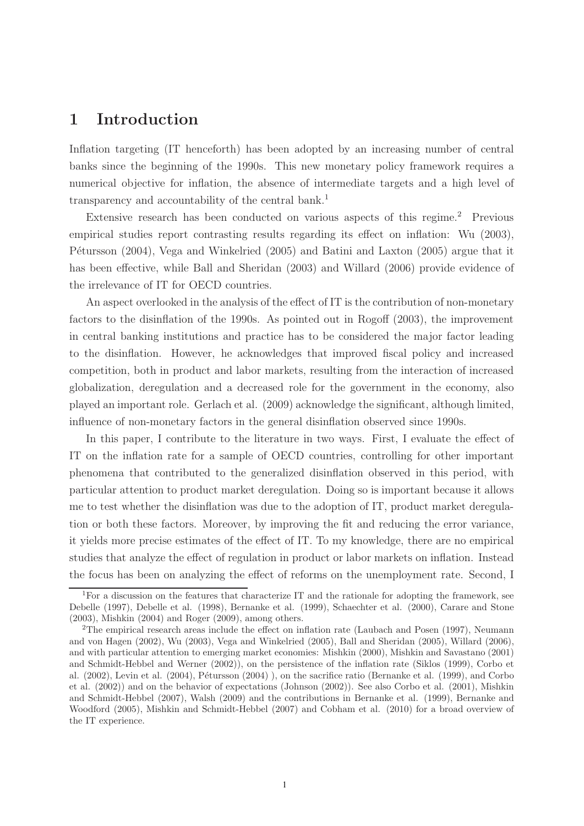## **1 Introduction**

Inflation targeting (IT henceforth) has been adopted by an increasing number of central banks since the beginning of the 1990s. This new monetary policy framework requires a numerical objective for inflation, the absence of intermediate targets and a high level of transparency and accountability of the central bank.<sup>1</sup>

Extensive research has been conducted on various aspects of this regime.<sup>2</sup> Previous empirical studies report contrasting results regarding its effect on inflation: Wu (2003), Pétursson (2004), Vega and Winkelried (2005) and Batini and Laxton (2005) argue that it has been effective, while Ball and Sheridan (2003) and Willard (2006) provide evidence of the irrelevance of IT for OECD countries.

An aspect overlooked in the analysis of the effect of IT is the contribution of non-monetary factors to the disinflation of the 1990s. As pointed out in Rogoff (2003), the improvement in central banking institutions and practice has to be considered the major factor leading to the disinflation. However, he acknowledges that improved fiscal policy and increased competition, both in product and labor markets, resulting from the interaction of increased globalization, deregulation and a decreased role for the government in the economy, also played an important role. Gerlach et al. (2009) acknowledge the significant, although limited, influence of non-monetary factors in the general disinflation observed since 1990s.

In this paper, I contribute to the literature in two ways. First, I evaluate the effect of IT on the inflation rate for a sample of OECD countries, controlling for other important phenomena that contributed to the generalized disinflation observed in this period, with particular attention to product market deregulation. Doing so is important because it allows me to test whether the disinflation was due to the adoption of IT, product market deregulation or both these factors. Moreover, by improving the fit and reducing the error variance, it yields more precise estimates of the effect of IT. To my knowledge, there are no empirical studies that analyze the effect of regulation in product or labor markets on inflation. Instead the focus has been on analyzing the effect of reforms on the unemployment rate. Second, I

<sup>&</sup>lt;sup>1</sup>For a discussion on the features that characterize IT and the rationale for adopting the framework, see Debelle (1997), Debelle et al. (1998), Bernanke et al. (1999), Schaechter et al. (2000), Carare and Stone (2003), Mishkin (2004) and Roger (2009), among others.

<sup>2</sup>The empirical research areas include the effect on inflation rate (Laubach and Posen (1997), Neumann and von Hagen (2002), Wu (2003), Vega and Winkelried (2005), Ball and Sheridan (2005), Willard (2006), and with particular attention to emerging market economies: Mishkin (2000), Mishkin and Savastano (2001) and Schmidt-Hebbel and Werner (2002)), on the persistence of the inflation rate (Siklos (1999), Corbo et al. (2002), Levin et al. (2004), Pétursson (2004) ), on the sacrifice ratio (Bernanke et al. (1999), and Corbo et al. (2002)) and on the behavior of expectations (Johnson (2002)). See also Corbo et al. (2001), Mishkin and Schmidt-Hebbel (2007), Walsh (2009) and the contributions in Bernanke et al. (1999), Bernanke and Woodford (2005), Mishkin and Schmidt-Hebbel (2007) and Cobham et al. (2010) for a broad overview of the IT experience.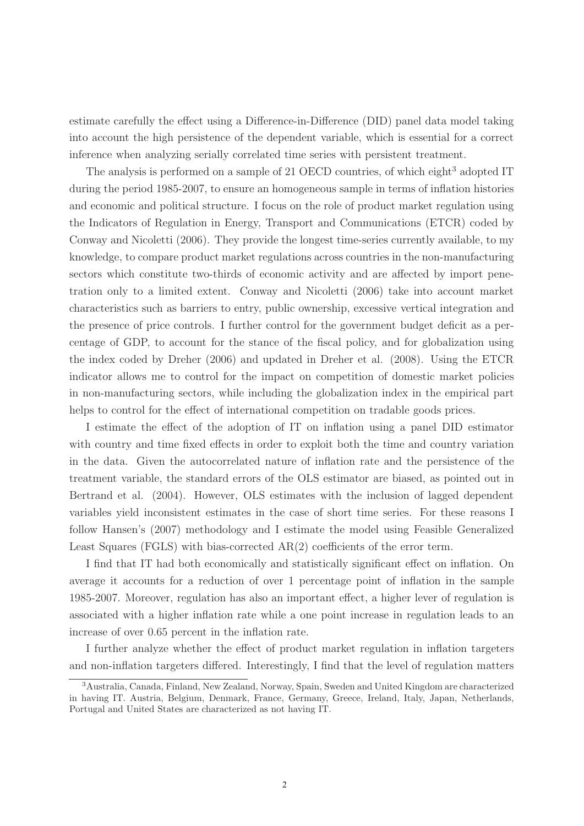estimate carefully the effect using a Difference-in-Difference (DID) panel data model taking into account the high persistence of the dependent variable, which is essential for a correct inference when analyzing serially correlated time series with persistent treatment.

The analysis is performed on a sample of 21 OECD countries, of which eight<sup>3</sup> adopted IT during the period 1985-2007, to ensure an homogeneous sample in terms of inflation histories and economic and political structure. I focus on the role of product market regulation using the Indicators of Regulation in Energy, Transport and Communications (ETCR) coded by Conway and Nicoletti (2006). They provide the longest time-series currently available, to my knowledge, to compare product market regulations across countries in the non-manufacturing sectors which constitute two-thirds of economic activity and are affected by import penetration only to a limited extent. Conway and Nicoletti (2006) take into account market characteristics such as barriers to entry, public ownership, excessive vertical integration and the presence of price controls. I further control for the government budget deficit as a percentage of GDP, to account for the stance of the fiscal policy, and for globalization using the index coded by Dreher (2006) and updated in Dreher et al. (2008). Using the ETCR indicator allows me to control for the impact on competition of domestic market policies in non-manufacturing sectors, while including the globalization index in the empirical part helps to control for the effect of international competition on tradable goods prices.

I estimate the effect of the adoption of IT on inflation using a panel DID estimator with country and time fixed effects in order to exploit both the time and country variation in the data. Given the autocorrelated nature of inflation rate and the persistence of the treatment variable, the standard errors of the OLS estimator are biased, as pointed out in Bertrand et al. (2004). However, OLS estimates with the inclusion of lagged dependent variables yield inconsistent estimates in the case of short time series. For these reasons I follow Hansen's (2007) methodology and I estimate the model using Feasible Generalized Least Squares (FGLS) with bias-corrected AR(2) coefficients of the error term.

I find that IT had both economically and statistically significant effect on inflation. On average it accounts for a reduction of over 1 percentage point of inflation in the sample 1985-2007. Moreover, regulation has also an important effect, a higher lever of regulation is associated with a higher inflation rate while a one point increase in regulation leads to an increase of over 0.65 percent in the inflation rate.

I further analyze whether the effect of product market regulation in inflation targeters and non-inflation targeters differed. Interestingly, I find that the level of regulation matters

<sup>3</sup>Australia, Canada, Finland, New Zealand, Norway, Spain, Sweden and United Kingdom are characterized in having IT. Austria, Belgium, Denmark, France, Germany, Greece, Ireland, Italy, Japan, Netherlands, Portugal and United States are characterized as not having IT.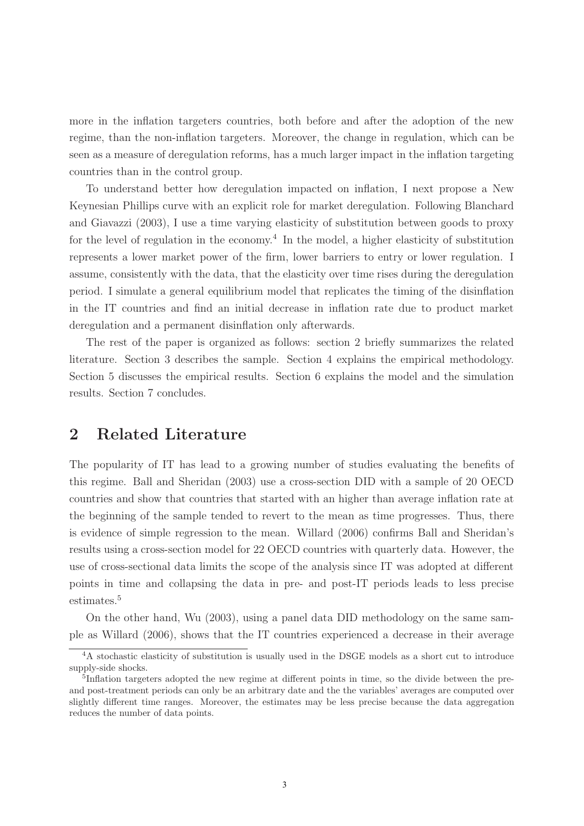more in the inflation targeters countries, both before and after the adoption of the new regime, than the non-inflation targeters. Moreover, the change in regulation, which can be seen as a measure of deregulation reforms, has a much larger impact in the inflation targeting countries than in the control group.

To understand better how deregulation impacted on inflation, I next propose a New Keynesian Phillips curve with an explicit role for market deregulation. Following Blanchard and Giavazzi (2003), I use a time varying elasticity of substitution between goods to proxy for the level of regulation in the economy.<sup>4</sup> In the model, a higher elasticity of substitution represents a lower market power of the firm, lower barriers to entry or lower regulation. I assume, consistently with the data, that the elasticity over time rises during the deregulation period. I simulate a general equilibrium model that replicates the timing of the disinflation in the IT countries and find an initial decrease in inflation rate due to product market deregulation and a permanent disinflation only afterwards.

The rest of the paper is organized as follows: section 2 briefly summarizes the related literature. Section 3 describes the sample. Section 4 explains the empirical methodology. Section 5 discusses the empirical results. Section 6 explains the model and the simulation results. Section 7 concludes.

## **2 Related Literature**

The popularity of IT has lead to a growing number of studies evaluating the benefits of this regime. Ball and Sheridan (2003) use a cross-section DID with a sample of 20 OECD countries and show that countries that started with an higher than average inflation rate at the beginning of the sample tended to revert to the mean as time progresses. Thus, there is evidence of simple regression to the mean. Willard (2006) confirms Ball and Sheridan's results using a cross-section model for 22 OECD countries with quarterly data. However, the use of cross-sectional data limits the scope of the analysis since IT was adopted at different points in time and collapsing the data in pre- and post-IT periods leads to less precise estimates.<sup>5</sup>

On the other hand, Wu (2003), using a panel data DID methodology on the same sample as Willard (2006), shows that the IT countries experienced a decrease in their average

<sup>4</sup>A stochastic elasticity of substitution is usually used in the DSGE models as a short cut to introduce supply-side shocks.

<sup>&</sup>lt;sup>5</sup>Inflation targeters adopted the new regime at different points in time, so the divide between the preand post-treatment periods can only be an arbitrary date and the the variables' averages are computed over slightly different time ranges. Moreover, the estimates may be less precise because the data aggregation reduces the number of data points.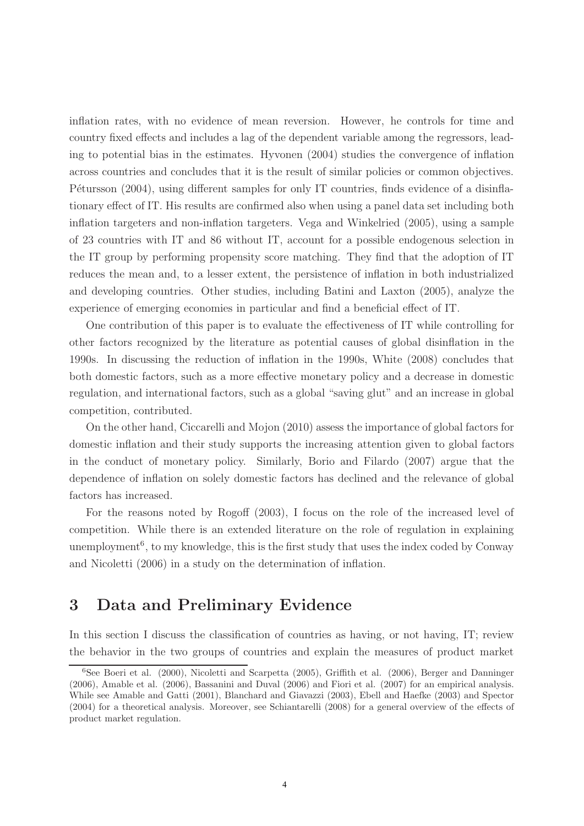inflation rates, with no evidence of mean reversion. However, he controls for time and country fixed effects and includes a lag of the dependent variable among the regressors, leading to potential bias in the estimates. Hyvonen (2004) studies the convergence of inflation across countries and concludes that it is the result of similar policies or common objectives. Pétursson (2004), using different samples for only IT countries, finds evidence of a disinflationary effect of IT. His results are confirmed also when using a panel data set including both inflation targeters and non-inflation targeters. Vega and Winkelried (2005), using a sample of 23 countries with IT and 86 without IT, account for a possible endogenous selection in the IT group by performing propensity score matching. They find that the adoption of IT reduces the mean and, to a lesser extent, the persistence of inflation in both industrialized and developing countries. Other studies, including Batini and Laxton (2005), analyze the experience of emerging economies in particular and find a beneficial effect of IT.

One contribution of this paper is to evaluate the effectiveness of IT while controlling for other factors recognized by the literature as potential causes of global disinflation in the 1990s. In discussing the reduction of inflation in the 1990s, White (2008) concludes that both domestic factors, such as a more effective monetary policy and a decrease in domestic regulation, and international factors, such as a global "saving glut" and an increase in global competition, contributed.

On the other hand, Ciccarelli and Mojon (2010) assess the importance of global factors for domestic inflation and their study supports the increasing attention given to global factors in the conduct of monetary policy. Similarly, Borio and Filardo (2007) argue that the dependence of inflation on solely domestic factors has declined and the relevance of global factors has increased.

For the reasons noted by Rogoff (2003), I focus on the role of the increased level of competition. While there is an extended literature on the role of regulation in explaining unemployment<sup>6</sup>, to my knowledge, this is the first study that uses the index coded by Conway and Nicoletti (2006) in a study on the determination of inflation.

## **3 Data and Preliminary Evidence**

In this section I discuss the classification of countries as having, or not having, IT; review the behavior in the two groups of countries and explain the measures of product market

<sup>6</sup>See Boeri et al. (2000), Nicoletti and Scarpetta (2005), Griffith et al. (2006), Berger and Danninger (2006), Amable et al. (2006), Bassanini and Duval (2006) and Fiori et al. (2007) for an empirical analysis. While see Amable and Gatti (2001), Blanchard and Giavazzi (2003), Ebell and Haefke (2003) and Spector (2004) for a theoretical analysis. Moreover, see Schiantarelli (2008) for a general overview of the effects of product market regulation.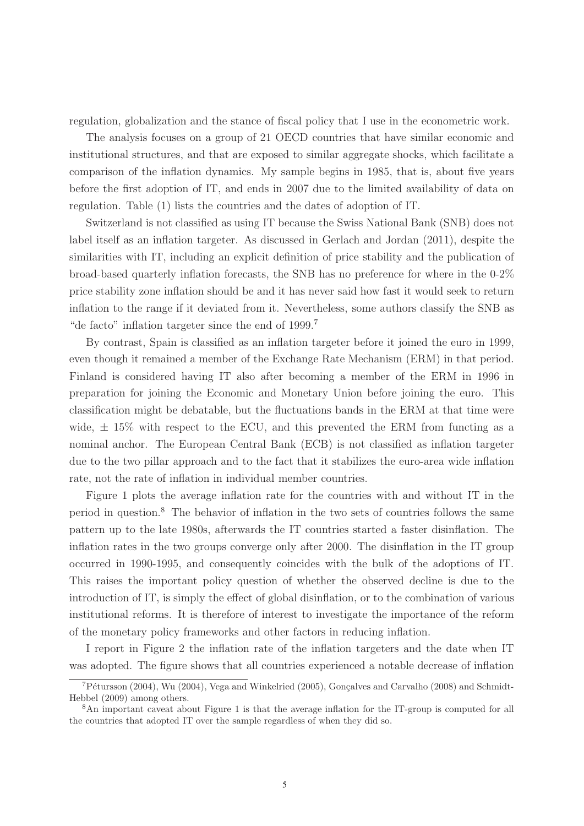regulation, globalization and the stance of fiscal policy that I use in the econometric work.

The analysis focuses on a group of 21 OECD countries that have similar economic and institutional structures, and that are exposed to similar aggregate shocks, which facilitate a comparison of the inflation dynamics. My sample begins in 1985, that is, about five years before the first adoption of IT, and ends in 2007 due to the limited availability of data on regulation. Table (1) lists the countries and the dates of adoption of IT.

Switzerland is not classified as using IT because the Swiss National Bank (SNB) does not label itself as an inflation targeter. As discussed in Gerlach and Jordan (2011), despite the similarities with IT, including an explicit definition of price stability and the publication of broad-based quarterly inflation forecasts, the SNB has no preference for where in the 0-2% price stability zone inflation should be and it has never said how fast it would seek to return inflation to the range if it deviated from it. Nevertheless, some authors classify the SNB as "de facto" inflation targeter since the end of 1999.<sup>7</sup>

By contrast, Spain is classified as an inflation targeter before it joined the euro in 1999, even though it remained a member of the Exchange Rate Mechanism (ERM) in that period. Finland is considered having IT also after becoming a member of the ERM in 1996 in preparation for joining the Economic and Monetary Union before joining the euro. This classification might be debatable, but the fluctuations bands in the ERM at that time were wide,  $\pm$  15% with respect to the ECU, and this prevented the ERM from functing as a nominal anchor. The European Central Bank (ECB) is not classified as inflation targeter due to the two pillar approach and to the fact that it stabilizes the euro-area wide inflation rate, not the rate of inflation in individual member countries.

Figure 1 plots the average inflation rate for the countries with and without IT in the period in question.<sup>8</sup> The behavior of inflation in the two sets of countries follows the same pattern up to the late 1980s, afterwards the IT countries started a faster disinflation. The inflation rates in the two groups converge only after 2000. The disinflation in the IT group occurred in 1990-1995, and consequently coincides with the bulk of the adoptions of IT. This raises the important policy question of whether the observed decline is due to the introduction of IT, is simply the effect of global disinflation, or to the combination of various institutional reforms. It is therefore of interest to investigate the importance of the reform of the monetary policy frameworks and other factors in reducing inflation.

I report in Figure 2 the inflation rate of the inflation targeters and the date when IT was adopted. The figure shows that all countries experienced a notable decrease of inflation

<sup>&</sup>lt;sup>7</sup>Pétursson (2004), Wu (2004), Vega and Winkelried (2005), Gonçalves and Carvalho (2008) and Schmidt-Hebbel (2009) among others.

<sup>&</sup>lt;sup>8</sup>An important caveat about Figure 1 is that the average inflation for the IT-group is computed for all the countries that adopted IT over the sample regardless of when they did so.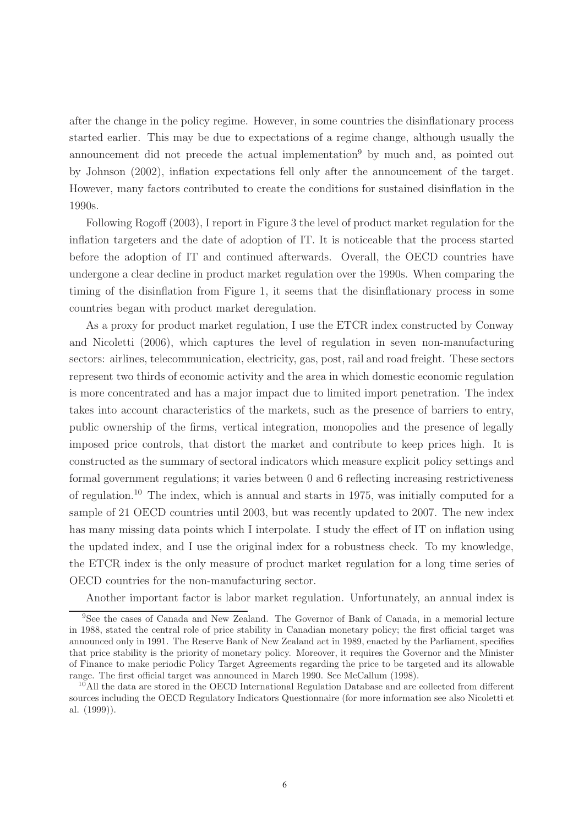after the change in the policy regime. However, in some countries the disinflationary process started earlier. This may be due to expectations of a regime change, although usually the announcement did not precede the actual implementation<sup>9</sup> by much and, as pointed out by Johnson (2002), inflation expectations fell only after the announcement of the target. However, many factors contributed to create the conditions for sustained disinflation in the 1990s.

Following Rogoff (2003), I report in Figure 3 the level of product market regulation for the inflation targeters and the date of adoption of IT. It is noticeable that the process started before the adoption of IT and continued afterwards. Overall, the OECD countries have undergone a clear decline in product market regulation over the 1990s. When comparing the timing of the disinflation from Figure 1, it seems that the disinflationary process in some countries began with product market deregulation.

As a proxy for product market regulation, I use the ETCR index constructed by Conway and Nicoletti (2006), which captures the level of regulation in seven non-manufacturing sectors: airlines, telecommunication, electricity, gas, post, rail and road freight. These sectors represent two thirds of economic activity and the area in which domestic economic regulation is more concentrated and has a major impact due to limited import penetration. The index takes into account characteristics of the markets, such as the presence of barriers to entry, public ownership of the firms, vertical integration, monopolies and the presence of legally imposed price controls, that distort the market and contribute to keep prices high. It is constructed as the summary of sectoral indicators which measure explicit policy settings and formal government regulations; it varies between 0 and 6 reflecting increasing restrictiveness of regulation.<sup>10</sup> The index, which is annual and starts in 1975, was initially computed for a sample of 21 OECD countries until 2003, but was recently updated to 2007. The new index has many missing data points which I interpolate. I study the effect of IT on inflation using the updated index, and I use the original index for a robustness check. To my knowledge, the ETCR index is the only measure of product market regulation for a long time series of OECD countries for the non-manufacturing sector.

Another important factor is labor market regulation. Unfortunately, an annual index is

<sup>9</sup>See the cases of Canada and New Zealand. The Governor of Bank of Canada, in a memorial lecture in 1988, stated the central role of price stability in Canadian monetary policy; the first official target was announced only in 1991. The Reserve Bank of New Zealand act in 1989, enacted by the Parliament, specifies that price stability is the priority of monetary policy. Moreover, it requires the Governor and the Minister of Finance to make periodic Policy Target Agreements regarding the price to be targeted and its allowable range. The first official target was announced in March 1990. See McCallum (1998).

<sup>10</sup>All the data are stored in the OECD International Regulation Database and are collected from different sources including the OECD Regulatory Indicators Questionnaire (for more information see also Nicoletti et al. (1999)).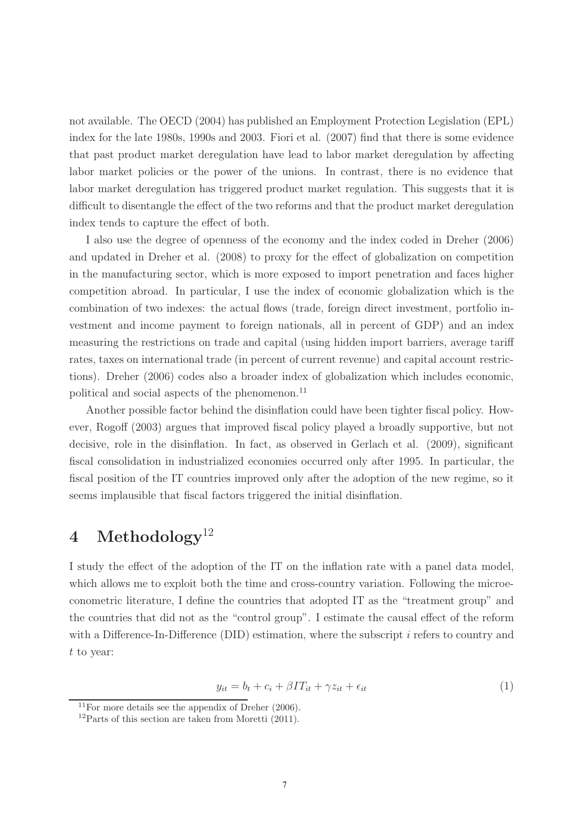not available. The OECD (2004) has published an Employment Protection Legislation (EPL) index for the late 1980s, 1990s and 2003. Fiori et al. (2007) find that there is some evidence that past product market deregulation have lead to labor market deregulation by affecting labor market policies or the power of the unions. In contrast, there is no evidence that labor market deregulation has triggered product market regulation. This suggests that it is difficult to disentangle the effect of the two reforms and that the product market deregulation index tends to capture the effect of both.

I also use the degree of openness of the economy and the index coded in Dreher (2006) and updated in Dreher et al. (2008) to proxy for the effect of globalization on competition in the manufacturing sector, which is more exposed to import penetration and faces higher competition abroad. In particular, I use the index of economic globalization which is the combination of two indexes: the actual flows (trade, foreign direct investment, portfolio investment and income payment to foreign nationals, all in percent of GDP) and an index measuring the restrictions on trade and capital (using hidden import barriers, average tariff rates, taxes on international trade (in percent of current revenue) and capital account restrictions). Dreher (2006) codes also a broader index of globalization which includes economic, political and social aspects of the phenomenon.<sup>11</sup>

Another possible factor behind the disinflation could have been tighter fiscal policy. However, Rogoff (2003) argues that improved fiscal policy played a broadly supportive, but not decisive, role in the disinflation. In fact, as observed in Gerlach et al. (2009), significant fiscal consolidation in industrialized economies occurred only after 1995. In particular, the fiscal position of the IT countries improved only after the adoption of the new regime, so it seems implausible that fiscal factors triggered the initial disinflation.

## **4 Methodology**<sup>12</sup>

I study the effect of the adoption of the IT on the inflation rate with a panel data model, which allows me to exploit both the time and cross-country variation. Following the microeconometric literature, I define the countries that adopted IT as the "treatment group" and the countries that did not as the "control group". I estimate the causal effect of the reform with a Difference-In-Difference (DID) estimation, where the subscript  $i$  refers to country and t to year:

$$
y_{it} = b_t + c_i + \beta I T_{it} + \gamma z_{it} + \epsilon_{it}
$$
\n<sup>(1)</sup>

<sup>&</sup>lt;sup>11</sup>For more details see the appendix of Dreher  $(2006)$ .

 $12$ Parts of this section are taken from Moretti (2011).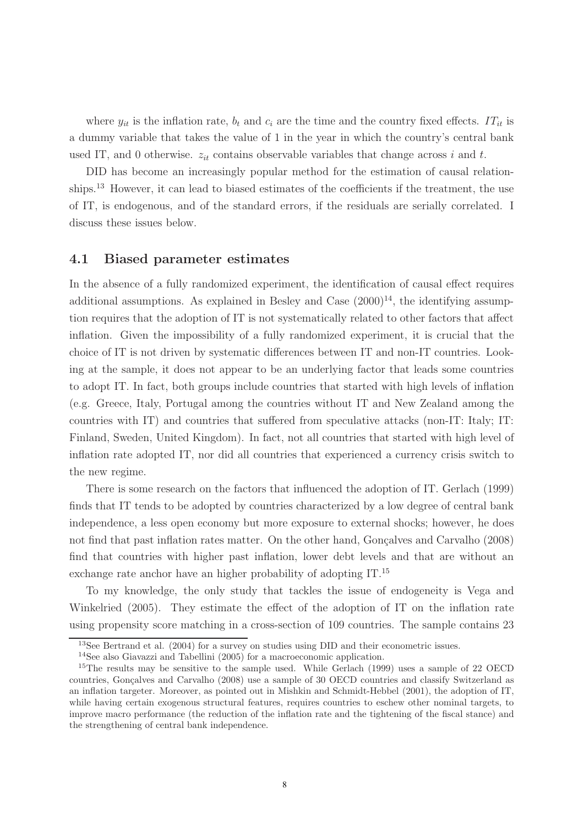where  $y_{it}$  is the inflation rate,  $b_t$  and  $c_i$  are the time and the country fixed effects. IT<sub>it</sub> is a dummy variable that takes the value of 1 in the year in which the country's central bank used IT, and 0 otherwise.  $z_{it}$  contains observable variables that change across i and t.

DID has become an increasingly popular method for the estimation of causal relationships.<sup>13</sup> However, it can lead to biased estimates of the coefficients if the treatment, the use of IT, is endogenous, and of the standard errors, if the residuals are serially correlated. I discuss these issues below.

#### **4.1 Biased parameter estimates**

In the absence of a fully randomized experiment, the identification of causal effect requires additional assumptions. As explained in Besley and Case  $(2000)^{14}$ , the identifying assumption requires that the adoption of IT is not systematically related to other factors that affect inflation. Given the impossibility of a fully randomized experiment, it is crucial that the choice of IT is not driven by systematic differences between IT and non-IT countries. Looking at the sample, it does not appear to be an underlying factor that leads some countries to adopt IT. In fact, both groups include countries that started with high levels of inflation (e.g. Greece, Italy, Portugal among the countries without IT and New Zealand among the countries with IT) and countries that suffered from speculative attacks (non-IT: Italy; IT: Finland, Sweden, United Kingdom). In fact, not all countries that started with high level of inflation rate adopted IT, nor did all countries that experienced a currency crisis switch to the new regime.

There is some research on the factors that influenced the adoption of IT. Gerlach (1999) finds that IT tends to be adopted by countries characterized by a low degree of central bank independence, a less open economy but more exposure to external shocks; however, he does not find that past inflation rates matter. On the other hand, Gonçalves and Carvalho (2008) find that countries with higher past inflation, lower debt levels and that are without an exchange rate anchor have an higher probability of adopting IT.<sup>15</sup>

To my knowledge, the only study that tackles the issue of endogeneity is Vega and Winkelried (2005). They estimate the effect of the adoption of IT on the inflation rate using propensity score matching in a cross-section of 109 countries. The sample contains 23

<sup>13</sup>See Bertrand et al. (2004) for a survey on studies using DID and their econometric issues.

<sup>14</sup>See also Giavazzi and Tabellini (2005) for a macroeconomic application.

<sup>&</sup>lt;sup>15</sup>The results may be sensitive to the sample used. While Gerlach (1999) uses a sample of 22 OECD countries, Gonçalves and Carvalho (2008) use a sample of 30 OECD countries and classify Switzerland as an inflation targeter. Moreover, as pointed out in Mishkin and Schmidt-Hebbel (2001), the adoption of IT, while having certain exogenous structural features, requires countries to eschew other nominal targets, to improve macro performance (the reduction of the inflation rate and the tightening of the fiscal stance) and the strengthening of central bank independence.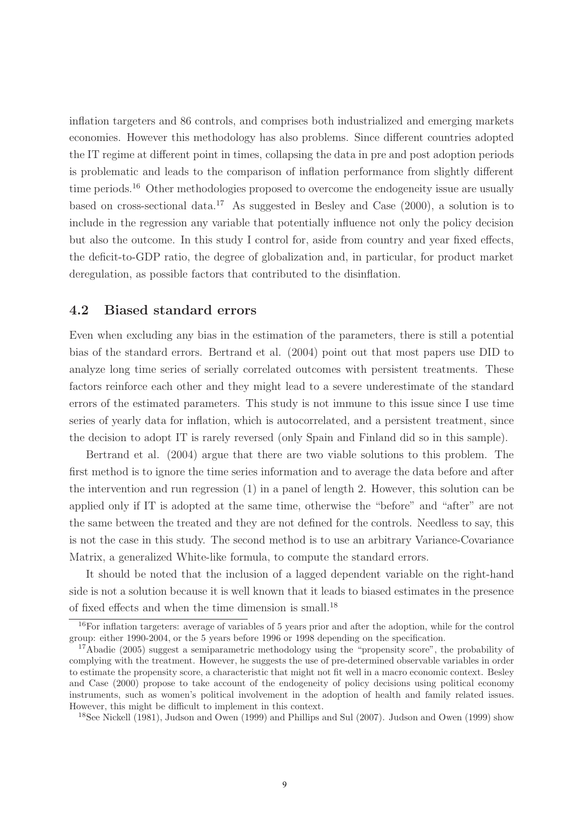inflation targeters and 86 controls, and comprises both industrialized and emerging markets economies. However this methodology has also problems. Since different countries adopted the IT regime at different point in times, collapsing the data in pre and post adoption periods is problematic and leads to the comparison of inflation performance from slightly different time periods.<sup>16</sup> Other methodologies proposed to overcome the endogeneity issue are usually based on cross-sectional data.<sup>17</sup> As suggested in Besley and Case  $(2000)$ , a solution is to include in the regression any variable that potentially influence not only the policy decision but also the outcome. In this study I control for, aside from country and year fixed effects, the deficit-to-GDP ratio, the degree of globalization and, in particular, for product market deregulation, as possible factors that contributed to the disinflation.

#### **4.2 Biased standard errors**

Even when excluding any bias in the estimation of the parameters, there is still a potential bias of the standard errors. Bertrand et al. (2004) point out that most papers use DID to analyze long time series of serially correlated outcomes with persistent treatments. These factors reinforce each other and they might lead to a severe underestimate of the standard errors of the estimated parameters. This study is not immune to this issue since I use time series of yearly data for inflation, which is autocorrelated, and a persistent treatment, since the decision to adopt IT is rarely reversed (only Spain and Finland did so in this sample).

Bertrand et al. (2004) argue that there are two viable solutions to this problem. The first method is to ignore the time series information and to average the data before and after the intervention and run regression (1) in a panel of length 2. However, this solution can be applied only if IT is adopted at the same time, otherwise the "before" and "after" are not the same between the treated and they are not defined for the controls. Needless to say, this is not the case in this study. The second method is to use an arbitrary Variance-Covariance Matrix, a generalized White-like formula, to compute the standard errors.

It should be noted that the inclusion of a lagged dependent variable on the right-hand side is not a solution because it is well known that it leads to biased estimates in the presence of fixed effects and when the time dimension is small.<sup>18</sup>

<sup>18</sup>See Nickell (1981), Judson and Owen (1999) and Phillips and Sul (2007). Judson and Owen (1999) show

<sup>&</sup>lt;sup>16</sup>For inflation targeters: average of variables of 5 years prior and after the adoption, while for the control group: either 1990-2004, or the 5 years before 1996 or 1998 depending on the specification.

<sup>&</sup>lt;sup>17</sup>Abadie (2005) suggest a semiparametric methodology using the "propensity score", the probability of complying with the treatment. However, he suggests the use of pre-determined observable variables in order to estimate the propensity score, a characteristic that might not fit well in a macro economic context. Besley and Case (2000) propose to take account of the endogeneity of policy decisions using political economy instruments, such as women's political involvement in the adoption of health and family related issues. However, this might be difficult to implement in this context.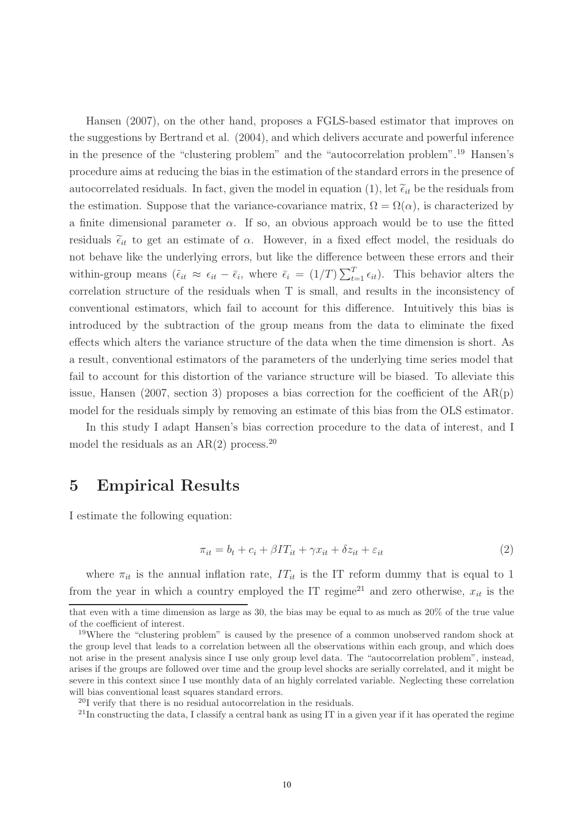Hansen (2007), on the other hand, proposes a FGLS-based estimator that improves on the suggestions by Bertrand et al. (2004), and which delivers accurate and powerful inference in the presence of the "clustering problem" and the "autocorrelation problem".<sup>19</sup> Hansen's procedure aims at reducing the bias in the estimation of the standard errors in the presence of autocorrelated residuals. In fact, given the model in equation (1), let  $\tilde{\epsilon}_{it}$  be the residuals from the estimation. Suppose that the variance-covariance matrix,  $\Omega = \Omega(\alpha)$ , is characterized by a finite dimensional parameter  $\alpha$ . If so, an obvious approach would be to use the fitted residuals  $\tilde{\epsilon}_{it}$  to get an estimate of  $\alpha$ . However, in a fixed effect model, the residuals do not behave like the underlying errors, but like the difference between these errors and their within-group means  $(\tilde{\epsilon}_{it} \approx \epsilon_{it} - \bar{\epsilon}_{i}, \text{ where } \bar{\epsilon}_{i} = (1/T) \sum_{t=1}^{T} \epsilon_{it}).$  This behavior alters the correlation structure of the residuals when T is small, and results in the inconsistency of conventional estimators, which fail to account for this difference. Intuitively this bias is introduced by the subtraction of the group means from the data to eliminate the fixed effects which alters the variance structure of the data when the time dimension is short. As a result, conventional estimators of the parameters of the underlying time series model that fail to account for this distortion of the variance structure will be biased. To alleviate this issue, Hansen (2007, section 3) proposes a bias correction for the coefficient of the  $AR(p)$ model for the residuals simply by removing an estimate of this bias from the OLS estimator.

In this study I adapt Hansen's bias correction procedure to the data of interest, and I model the residuals as an  $AR(2)$  process.<sup>20</sup>

### **5 Empirical Results**

I estimate the following equation:

$$
\pi_{it} = b_t + c_i + \beta I T_{it} + \gamma x_{it} + \delta z_{it} + \varepsilon_{it}
$$
\n<sup>(2)</sup>

where  $\pi_{it}$  is the annual inflation rate,  $IT_{it}$  is the IT reform dummy that is equal to 1 from the year in which a country employed the IT regime<sup>21</sup> and zero otherwise,  $x_{it}$  is the

that even with a time dimension as large as 30, the bias may be equal to as much as 20% of the true value of the coefficient of interest.

<sup>&</sup>lt;sup>19</sup>Where the "clustering problem" is caused by the presence of a common unobserved random shock at the group level that leads to a correlation between all the observations within each group, and which does not arise in the present analysis since I use only group level data. The "autocorrelation problem", instead, arises if the groups are followed over time and the group level shocks are serially correlated, and it might be severe in this context since I use monthly data of an highly correlated variable. Neglecting these correlation will bias conventional least squares standard errors.

<sup>20</sup>I verify that there is no residual autocorrelation in the residuals.

<sup>&</sup>lt;sup>21</sup>In constructing the data, I classify a central bank as using IT in a given year if it has operated the regime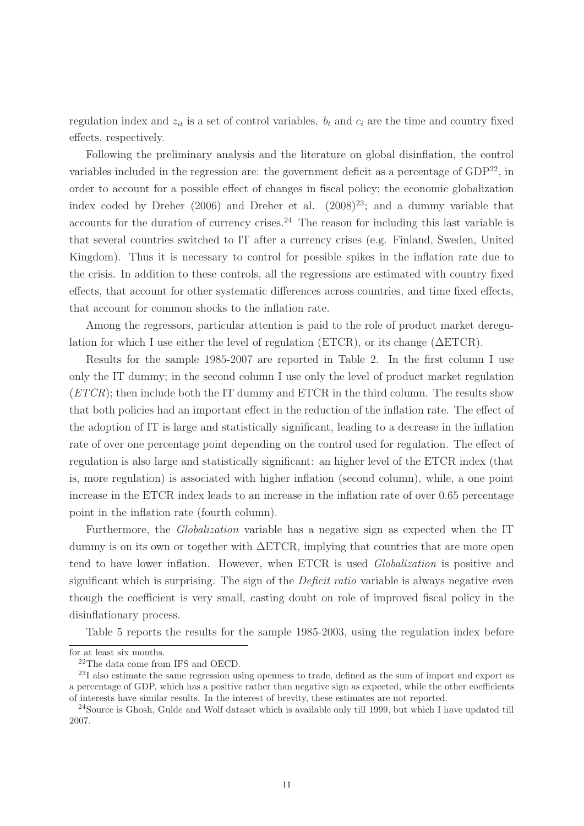regulation index and  $z_{it}$  is a set of control variables.  $b_t$  and  $c_i$  are the time and country fixed effects, respectively.

Following the preliminary analysis and the literature on global disinflation, the control variables included in the regression are: the government deficit as a percentage of  $GDP<sup>22</sup>$ , in order to account for a possible effect of changes in fiscal policy; the economic globalization index coded by Dreher (2006) and Dreher et al.  $(2008)^{23}$ ; and a dummy variable that accounts for the duration of currency crises.<sup>24</sup> The reason for including this last variable is that several countries switched to IT after a currency crises (e.g. Finland, Sweden, United Kingdom). Thus it is necessary to control for possible spikes in the inflation rate due to the crisis. In addition to these controls, all the regressions are estimated with country fixed effects, that account for other systematic differences across countries, and time fixed effects, that account for common shocks to the inflation rate.

Among the regressors, particular attention is paid to the role of product market deregulation for which I use either the level of regulation (ETCR), or its change ( $\Delta ETCR$ ).

Results for the sample 1985-2007 are reported in Table 2. In the first column I use only the IT dummy; in the second column I use only the level of product market regulation  $(ETCR)$ ; then include both the IT dummy and ETCR in the third column. The results show that both policies had an important effect in the reduction of the inflation rate. The effect of the adoption of IT is large and statistically significant, leading to a decrease in the inflation rate of over one percentage point depending on the control used for regulation. The effect of regulation is also large and statistically significant: an higher level of the ETCR index (that is, more regulation) is associated with higher inflation (second column), while, a one point increase in the ETCR index leads to an increase in the inflation rate of over 0.65 percentage point in the inflation rate (fourth column).

Furthermore, the Globalization variable has a negative sign as expected when the IT dummy is on its own or together with ΔETCR, implying that countries that are more open tend to have lower inflation. However, when ETCR is used Globalization is positive and significant which is surprising. The sign of the *Deficit ratio* variable is always negative even though the coefficient is very small, casting doubt on role of improved fiscal policy in the disinflationary process.

Table 5 reports the results for the sample 1985-2003, using the regulation index before

for at least six months.

<sup>22</sup>The data come from IFS and OECD.

<sup>23</sup>I also estimate the same regression using openness to trade, defined as the sum of import and export as a percentage of GDP, which has a positive rather than negative sign as expected, while the other coefficients of interests have similar results. In the interest of brevity, these estimates are not reported.

<sup>&</sup>lt;sup>24</sup>Source is Ghosh, Gulde and Wolf dataset which is available only till 1999, but which I have updated till 2007.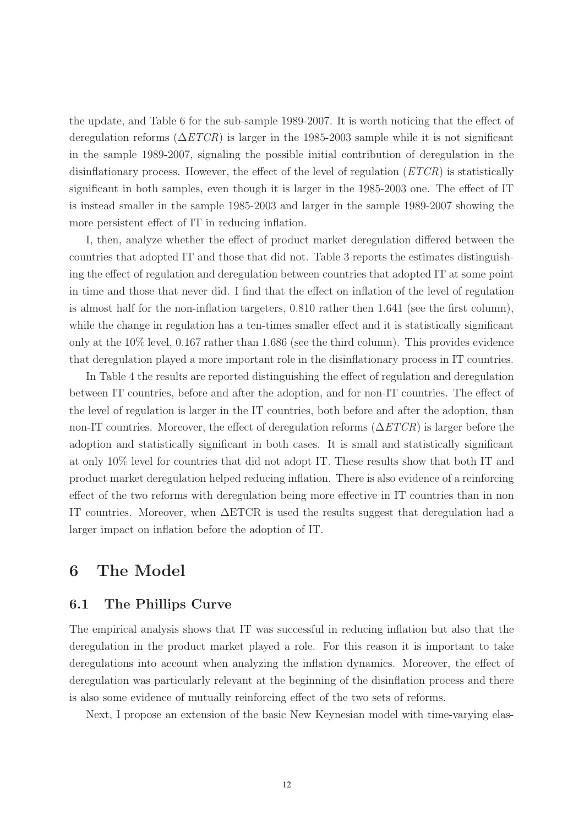the update, and Table 6 for the sub-sample 1989-2007. It is worth noticing that the effect of deregulation reforms  $(\Delta ETCR)$  is larger in the 1985-2003 sample while it is not significant in the sample 1989-2007, signaling the possible initial contribution of deregulation in the disinflationary process. However, the effect of the level of regulation  $(ETCR)$  is statistically significant in both samples, even though it is larger in the 1985-2003 one. The effect of IT is instead smaller in the sample 1985-2003 and larger in the sample 1989-2007 showing the more persistent effect of IT in reducing inflation.

I, then, analyze whether the effect of product market deregulation differed between the countries that adopted IT and those that did not. Table 3 reports the estimates distinguishing the effect of regulation and deregulation between countries that adopted IT at some point in time and those that never did. I find that the effect on inflation of the level of regulation is almost half for the non-inflation targeters, 0.810 rather then 1.641 (see the first column), while the change in regulation has a ten-times smaller effect and it is statistically significant only at the 10% level, 0.167 rather than 1.686 (see the third column). This provides evidence that deregulation played a more important role in the disinflationary process in IT countries.

In Table 4 the results are reported distinguishing the effect of regulation and deregulation between IT countries, before and after the adoption, and for non-IT countries. The effect of the level of regulation is larger in the IT countries, both before and after the adoption, than non-IT countries. Moreover, the effect of deregulation reforms  $(\Delta ETCR)$  is larger before the adoption and statistically significant in both cases. It is small and statistically significant at only 10% level for countries that did not adopt IT. These results show that both IT and product market deregulation helped reducing inflation. There is also evidence of a reinforcing effect of the two reforms with deregulation being more effective in IT countries than in non IT countries. Moreover, when ΔETCR is used the results suggest that deregulation had a larger impact on inflation before the adoption of IT.

### **6 The Model**

#### **6.1 The Phillips Curve**

The empirical analysis shows that IT was successful in reducing inflation but also that the deregulation in the product market played a role. For this reason it is important to take deregulations into account when analyzing the inflation dynamics. Moreover, the effect of deregulation was particularly relevant at the beginning of the disinflation process and there is also some evidence of mutually reinforcing effect of the two sets of reforms.

Next, I propose an extension of the basic New Keynesian model with time-varying elas-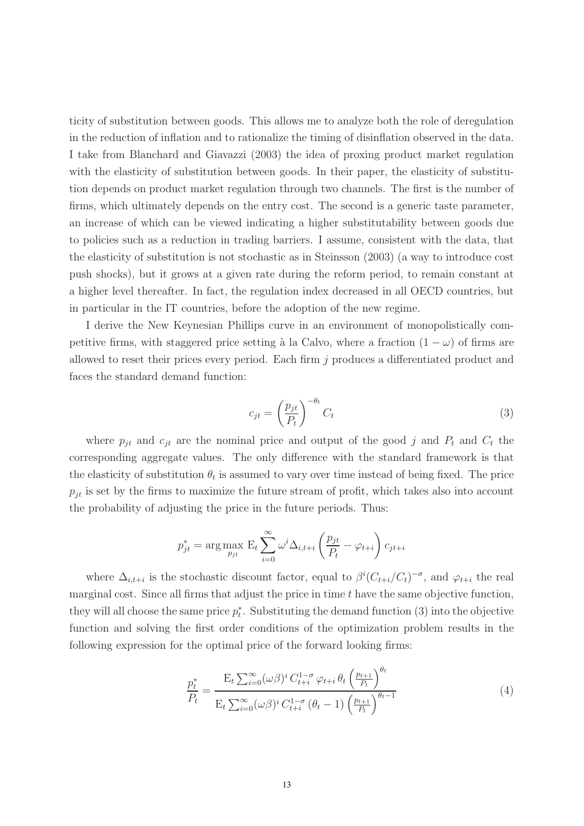ticity of substitution between goods. This allows me to analyze both the role of deregulation in the reduction of inflation and to rationalize the timing of disinflation observed in the data. I take from Blanchard and Giavazzi (2003) the idea of proxing product market regulation with the elasticity of substitution between goods. In their paper, the elasticity of substitution depends on product market regulation through two channels. The first is the number of firms, which ultimately depends on the entry cost. The second is a generic taste parameter, an increase of which can be viewed indicating a higher substitutability between goods due to policies such as a reduction in trading barriers. I assume, consistent with the data, that the elasticity of substitution is not stochastic as in Steinsson (2003) (a way to introduce cost push shocks), but it grows at a given rate during the reform period, to remain constant at a higher level thereafter. In fact, the regulation index decreased in all OECD countries, but in particular in the IT countries, before the adoption of the new regime.

I derive the New Keynesian Phillips curve in an environment of monopolistically competitive firms, with staggered price setting à la Calvo, where a fraction  $(1 - \omega)$  of firms are allowed to reset their prices every period. Each firm j produces a differentiated product and faces the standard demand function:

$$
c_{jt} = \left(\frac{p_{jt}}{P_t}\right)^{-\theta_t} C_t \tag{3}
$$

where  $p_{jt}$  and  $c_{jt}$  are the nominal price and output of the good j and  $P_t$  and  $C_t$  the corresponding aggregate values. The only difference with the standard framework is that the elasticity of substitution  $\theta_t$  is assumed to vary over time instead of being fixed. The price  $p_{it}$  is set by the firms to maximize the future stream of profit, which takes also into account the probability of adjusting the price in the future periods. Thus:

$$
p_{jt}^{*} = \arg \max_{p_{jt}} \mathbf{E}_{t} \sum_{i=0}^{\infty} \omega^{i} \Delta_{i,t+i} \left(\frac{p_{jt}}{P_t} - \varphi_{t+i}\right) c_{jt+i}
$$

where  $\Delta_{i,t+i}$  is the stochastic discount factor, equal to  $\beta^{i}(C_{t+i}/C_{t})^{-\sigma}$ , and  $\varphi_{t+i}$  the real marginal cost. Since all firms that adjust the price in time  $t$  have the same objective function, they will all choose the same price  $p_t^*$ . Substituting the demand function (3) into the objective function and solving the first order conditions of the optimization problem results in the following expression for the optimal price of the forward looking firms:

$$
\frac{p_t^*}{P_t} = \frac{\mathcal{E}_t \sum_{i=0}^{\infty} (\omega \beta)^i C_{t+i}^{1-\sigma} \varphi_{t+i} \theta_t \left(\frac{p_{t+1}}{P_t}\right)^{\theta_t}}{\mathcal{E}_t \sum_{i=0}^{\infty} (\omega \beta)^i C_{t+i}^{1-\sigma} (\theta_t - 1) \left(\frac{p_{t+1}}{P_t}\right)^{\theta_t - 1}}
$$
(4)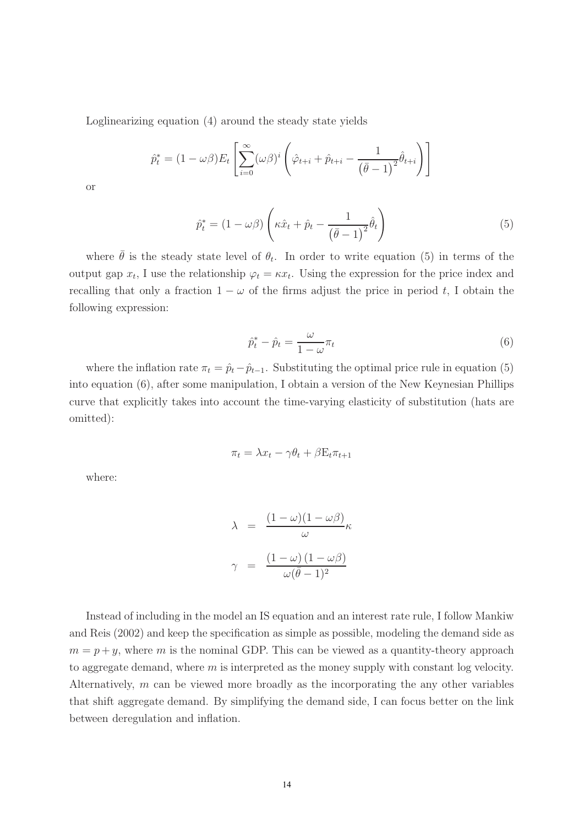Loglinearizing equation (4) around the steady state yields

$$
\hat{p}_t^* = (1 - \omega \beta) E_t \left[ \sum_{i=0}^{\infty} (\omega \beta)^i \left( \hat{\varphi}_{t+i} + \hat{p}_{t+i} - \frac{1}{(\bar{\theta} - 1)^2} \hat{\theta}_{t+i} \right) \right]
$$

or

$$
\hat{p}_t^* = (1 - \omega\beta) \left( \kappa \hat{x}_t + \hat{p}_t - \frac{1}{(\bar{\theta} - 1)^2} \hat{\theta}_t \right)
$$
\n(5)

where  $\bar{\theta}$  is the steady state level of  $\theta_t$ . In order to write equation (5) in terms of the output gap  $x_t$ , I use the relationship  $\varphi_t = \kappa x_t$ . Using the expression for the price index and recalling that only a fraction  $1 - \omega$  of the firms adjust the price in period t, I obtain the following expression:

$$
\hat{p}_t^* - \hat{p}_t = \frac{\omega}{1 - \omega} \pi_t \tag{6}
$$

where the inflation rate  $\pi_t = \hat{p}_t - \hat{p}_{t-1}$ . Substituting the optimal price rule in equation (5) into equation (6), after some manipulation, I obtain a version of the New Keynesian Phillips curve that explicitly takes into account the time-varying elasticity of substitution (hats are omitted):

$$
\pi_t = \lambda x_t - \gamma \theta_t + \beta E_t \pi_{t+1}
$$

where:

$$
\lambda = \frac{(1 - \omega)(1 - \omega \beta)}{\omega} \kappa
$$

$$
\gamma = \frac{(1 - \omega)(1 - \omega \beta)}{\omega(\bar{\theta} - 1)^2}
$$

Instead of including in the model an IS equation and an interest rate rule, I follow Mankiw and Reis (2002) and keep the specification as simple as possible, modeling the demand side as  $m = p + y$ , where m is the nominal GDP. This can be viewed as a quantity-theory approach to aggregate demand, where  $m$  is interpreted as the money supply with constant log velocity. Alternatively, m can be viewed more broadly as the incorporating the any other variables that shift aggregate demand. By simplifying the demand side, I can focus better on the link between deregulation and inflation.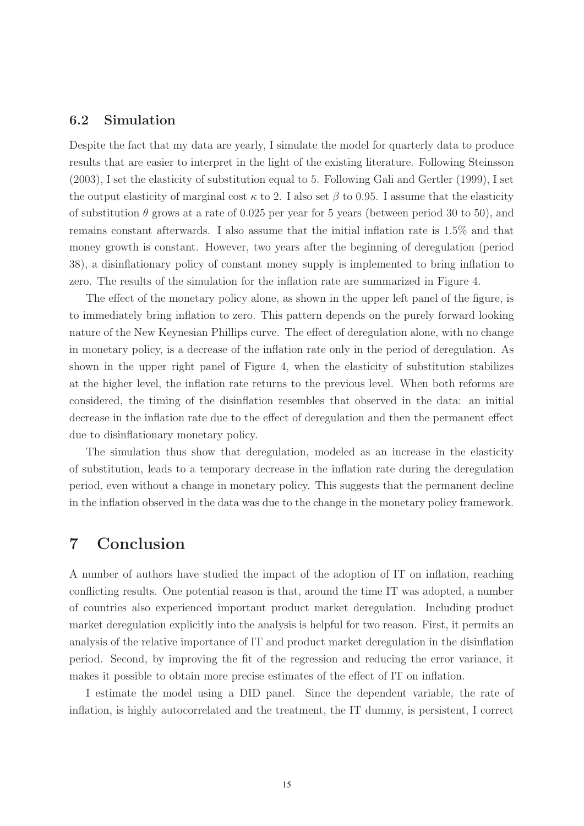#### **6.2 Simulation**

Despite the fact that my data are yearly, I simulate the model for quarterly data to produce results that are easier to interpret in the light of the existing literature. Following Steinsson (2003), I set the elasticity of substitution equal to 5. Following Gali and Gertler (1999), I set the output elasticity of marginal cost  $\kappa$  to 2. I also set  $\beta$  to 0.95. I assume that the elasticity of substitution  $\theta$  grows at a rate of 0.025 per year for 5 years (between period 30 to 50), and remains constant afterwards. I also assume that the initial inflation rate is 1.5% and that money growth is constant. However, two years after the beginning of deregulation (period 38), a disinflationary policy of constant money supply is implemented to bring inflation to zero. The results of the simulation for the inflation rate are summarized in Figure 4.

The effect of the monetary policy alone, as shown in the upper left panel of the figure, is to immediately bring inflation to zero. This pattern depends on the purely forward looking nature of the New Keynesian Phillips curve. The effect of deregulation alone, with no change in monetary policy, is a decrease of the inflation rate only in the period of deregulation. As shown in the upper right panel of Figure 4, when the elasticity of substitution stabilizes at the higher level, the inflation rate returns to the previous level. When both reforms are considered, the timing of the disinflation resembles that observed in the data: an initial decrease in the inflation rate due to the effect of deregulation and then the permanent effect due to disinflationary monetary policy.

The simulation thus show that deregulation, modeled as an increase in the elasticity of substitution, leads to a temporary decrease in the inflation rate during the deregulation period, even without a change in monetary policy. This suggests that the permanent decline in the inflation observed in the data was due to the change in the monetary policy framework.

### **7 Conclusion**

A number of authors have studied the impact of the adoption of IT on inflation, reaching conflicting results. One potential reason is that, around the time IT was adopted, a number of countries also experienced important product market deregulation. Including product market deregulation explicitly into the analysis is helpful for two reason. First, it permits an analysis of the relative importance of IT and product market deregulation in the disinflation period. Second, by improving the fit of the regression and reducing the error variance, it makes it possible to obtain more precise estimates of the effect of IT on inflation.

I estimate the model using a DID panel. Since the dependent variable, the rate of inflation, is highly autocorrelated and the treatment, the IT dummy, is persistent, I correct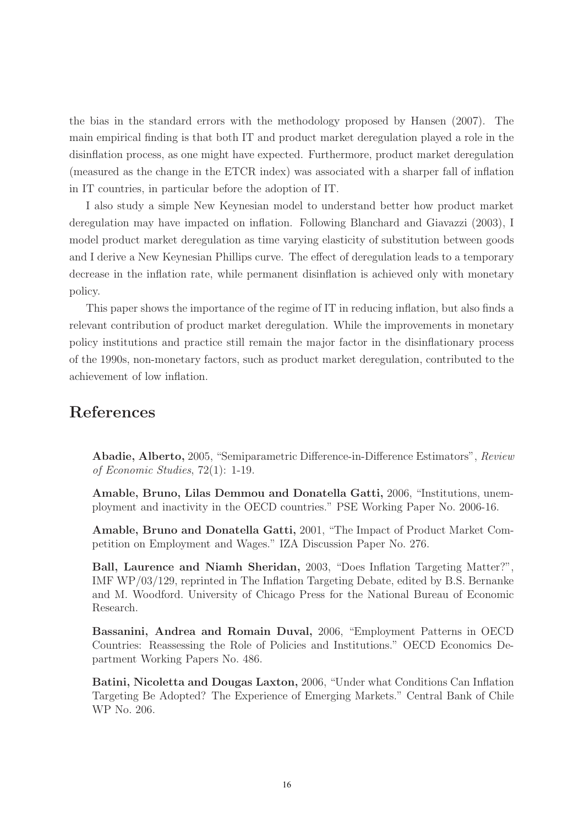the bias in the standard errors with the methodology proposed by Hansen (2007). The main empirical finding is that both IT and product market deregulation played a role in the disinflation process, as one might have expected. Furthermore, product market deregulation (measured as the change in the ETCR index) was associated with a sharper fall of inflation in IT countries, in particular before the adoption of IT.

I also study a simple New Keynesian model to understand better how product market deregulation may have impacted on inflation. Following Blanchard and Giavazzi (2003), I model product market deregulation as time varying elasticity of substitution between goods and I derive a New Keynesian Phillips curve. The effect of deregulation leads to a temporary decrease in the inflation rate, while permanent disinflation is achieved only with monetary policy.

This paper shows the importance of the regime of IT in reducing inflation, but also finds a relevant contribution of product market deregulation. While the improvements in monetary policy institutions and practice still remain the major factor in the disinflationary process of the 1990s, non-monetary factors, such as product market deregulation, contributed to the achievement of low inflation.

### **References**

**Abadie, Alberto,** 2005, "Semiparametric Difference-in-Difference Estimators", Review of Economic Studies, 72(1): 1-19.

**Amable, Bruno, Lilas Demmou and Donatella Gatti,** 2006, "Institutions, unemployment and inactivity in the OECD countries." PSE Working Paper No. 2006-16.

**Amable, Bruno and Donatella Gatti,** 2001, "The Impact of Product Market Competition on Employment and Wages." IZA Discussion Paper No. 276.

**Ball, Laurence and Niamh Sheridan,** 2003, "Does Inflation Targeting Matter?", IMF WP/03/129, reprinted in The Inflation Targeting Debate, edited by B.S. Bernanke and M. Woodford. University of Chicago Press for the National Bureau of Economic Research.

**Bassanini, Andrea and Romain Duval,** 2006, "Employment Patterns in OECD Countries: Reassessing the Role of Policies and Institutions." OECD Economics Department Working Papers No. 486.

**Batini, Nicoletta and Dougas Laxton,** 2006, "Under what Conditions Can Inflation Targeting Be Adopted? The Experience of Emerging Markets." Central Bank of Chile WP No. 206.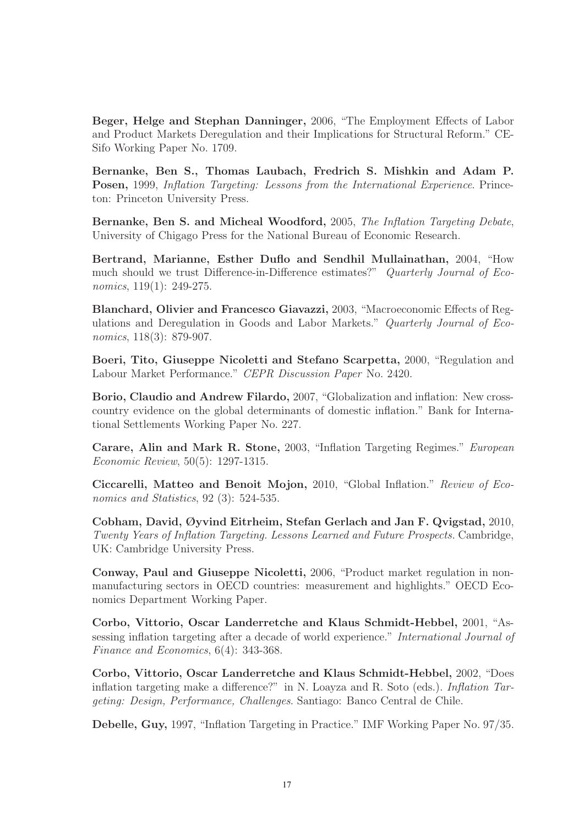**Beger, Helge and Stephan Danninger,** 2006, "The Employment Effects of Labor and Product Markets Deregulation and their Implications for Structural Reform." CE-Sifo Working Paper No. 1709.

**Bernanke, Ben S., Thomas Laubach, Fredrich S. Mishkin and Adam P. Posen,** 1999, Inflation Targeting: Lessons from the International Experience. Princeton: Princeton University Press.

**Bernanke, Ben S. and Micheal Woodford,** 2005, The Inflation Targeting Debate, University of Chigago Press for the National Bureau of Economic Research.

**Bertrand, Marianne, Esther Duflo and Sendhil Mullainathan,** 2004, "How much should we trust Difference-in-Difference estimates?" Quarterly Journal of Economics, 119(1): 249-275.

**Blanchard, Olivier and Francesco Giavazzi,** 2003, "Macroeconomic Effects of Regulations and Deregulation in Goods and Labor Markets." Quarterly Journal of Economics, 118(3): 879-907.

**Boeri, Tito, Giuseppe Nicoletti and Stefano Scarpetta,** 2000, "Regulation and Labour Market Performance." CEPR Discussion Paper No. 2420.

**Borio, Claudio and Andrew Filardo,** 2007, "Globalization and inflation: New crosscountry evidence on the global determinants of domestic inflation." Bank for International Settlements Working Paper No. 227.

**Carare, Alin and Mark R. Stone,** 2003, "Inflation Targeting Regimes." European Economic Review, 50(5): 1297-1315.

**Ciccarelli, Matteo and Benoit Mojon,** 2010, "Global Inflation." Review of Economics and Statistics, 92 (3): 524-535.

**Cobham, David, Øyvind Eitrheim, Stefan Gerlach and Jan F. Qvigstad,** 2010, Twenty Years of Inflation Targeting. Lessons Learned and Future Prospects. Cambridge, UK: Cambridge University Press.

**Conway, Paul and Giuseppe Nicoletti,** 2006, "Product market regulation in nonmanufacturing sectors in OECD countries: measurement and highlights." OECD Economics Department Working Paper.

**Corbo, Vittorio, Oscar Landerretche and Klaus Schmidt-Hebbel,** 2001, "Assessing inflation targeting after a decade of world experience." International Journal of Finance and Economics, 6(4): 343-368.

**Corbo, Vittorio, Oscar Landerretche and Klaus Schmidt-Hebbel,** 2002, "Does inflation targeting make a difference?" in N. Loayza and R. Soto (eds.). Inflation Targeting: Design, Performance, Challenges. Santiago: Banco Central de Chile.

**Debelle, Guy,** 1997, "Inflation Targeting in Practice." IMF Working Paper No. 97/35.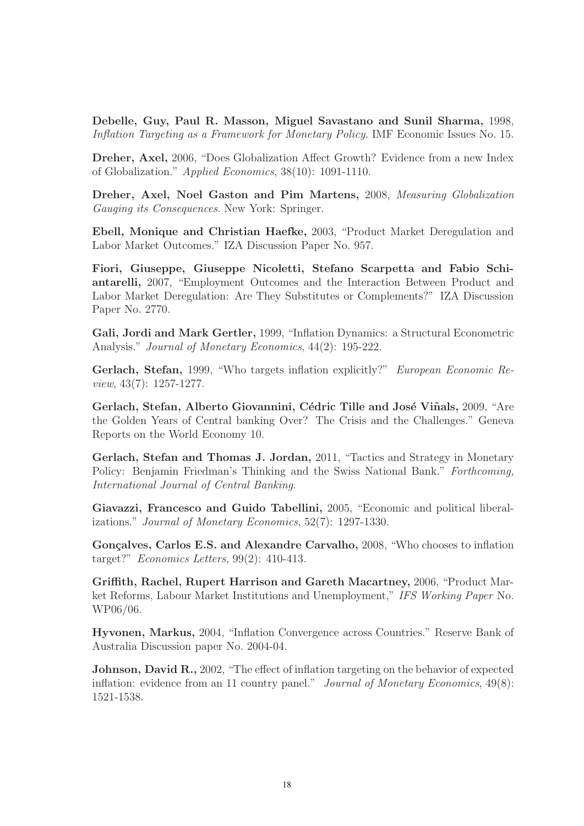**Debelle, Guy, Paul R. Masson, Miguel Savastano and Sunil Sharma,** 1998, Inflation Targeting as a Framework for Monetary Policy. IMF Economic Issues No. 15.

**Dreher, Axel,** 2006, "Does Globalization Affect Growth? Evidence from a new Index of Globalization." Applied Economics, 38(10): 1091-1110.

**Dreher, Axel, Noel Gaston and Pim Martens,** 2008, Measuring Globalization Gauging its Consequences. New York: Springer.

**Ebell, Monique and Christian Haefke,** 2003, "Product Market Deregulation and Labor Market Outcomes." IZA Discussion Paper No. 957.

**Fiori, Giuseppe, Giuseppe Nicoletti, Stefano Scarpetta and Fabio Schiantarelli,** 2007, "Employment Outcomes and the Interaction Between Product and Labor Market Deregulation: Are They Substitutes or Complements?" IZA Discussion Paper No. 2770.

**Gali, Jordi and Mark Gertler,** 1999, "Inflation Dynamics: a Structural Econometric Analysis." *Journal of Monetary Economics*, 44(2): 195-222.

**Gerlach, Stefan,** 1999, "Who targets inflation explicitly?" European Economic Review, 43(7): 1257-1277.

**Gerlach, Stefan, Alberto Giovannini, Cédric Tille and José Viñals, 2009, "Are** the Golden Years of Central banking Over? The Crisis and the Challenges." Geneva Reports on the World Economy 10.

**Gerlach, Stefan and Thomas J. Jordan,** 2011, "Tactics and Strategy in Monetary Policy: Benjamin Friedman's Thinking and the Swiss National Bank." Forthcoming, International Journal of Central Banking.

**Giavazzi, Francesco and Guido Tabellini,** 2005, "Economic and political liberalizations." Journal of Monetary Economics, 52(7): 1297-1330.

Gonçalves, Carlos E.S. and Alexandre Carvalho, 2008, "Who chooses to inflation target?" Economics Letters, 99(2): 410-413.

**Griffith, Rachel, Rupert Harrison and Gareth Macartney,** 2006, "Product Market Reforms, Labour Market Institutions and Unemployment," IFS Working Paper No. WP06/06.

**Hyvonen, Markus,** 2004, "Inflation Convergence across Countries." Reserve Bank of Australia Discussion paper No. 2004-04.

**Johnson, David R.,** 2002, "The effect of inflation targeting on the behavior of expected inflation: evidence from an 11 country panel." Journal of Monetary Economics, 49(8): 1521-1538.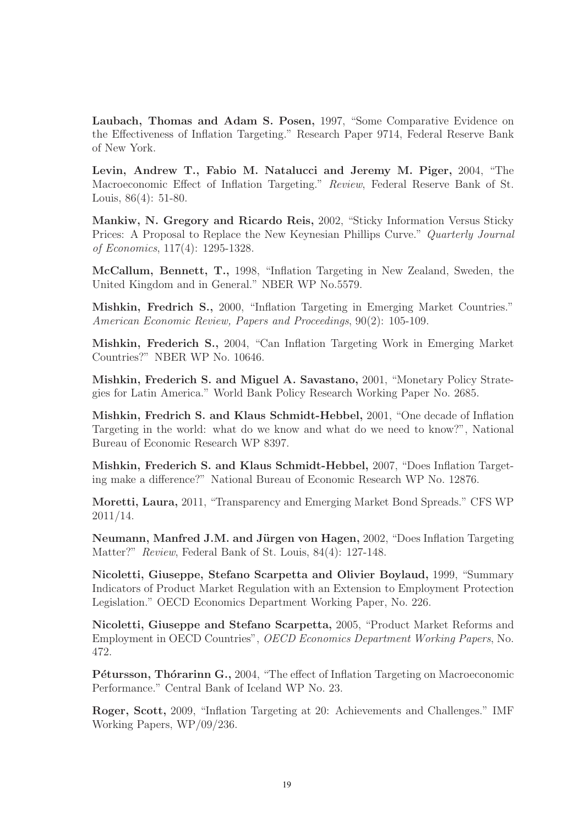**Laubach, Thomas and Adam S. Posen,** 1997, "Some Comparative Evidence on the Effectiveness of Inflation Targeting." Research Paper 9714, Federal Reserve Bank of New York.

**Levin, Andrew T., Fabio M. Natalucci and Jeremy M. Piger,** 2004, "The Macroeconomic Effect of Inflation Targeting." Review, Federal Reserve Bank of St. Louis, 86(4): 51-80.

**Mankiw, N. Gregory and Ricardo Reis,** 2002, "Sticky Information Versus Sticky Prices: A Proposal to Replace the New Keynesian Phillips Curve." Quarterly Journal of Economics, 117(4): 1295-1328.

**McCallum, Bennett, T.,** 1998, "Inflation Targeting in New Zealand, Sweden, the United Kingdom and in General." NBER WP No.5579.

**Mishkin, Fredrich S.,** 2000, "Inflation Targeting in Emerging Market Countries." American Economic Review, Papers and Proceedings, 90(2): 105-109.

**Mishkin, Frederich S.,** 2004, "Can Inflation Targeting Work in Emerging Market Countries?" NBER WP No. 10646.

**Mishkin, Frederich S. and Miguel A. Savastano,** 2001, "Monetary Policy Strategies for Latin America." World Bank Policy Research Working Paper No. 2685.

**Mishkin, Fredrich S. and Klaus Schmidt-Hebbel,** 2001, "One decade of Inflation Targeting in the world: what do we know and what do we need to know?", National Bureau of Economic Research WP 8397.

**Mishkin, Frederich S. and Klaus Schmidt-Hebbel,** 2007, "Does Inflation Targeting make a difference?" National Bureau of Economic Research WP No. 12876.

**Moretti, Laura,** 2011, "Transparency and Emerging Market Bond Spreads." CFS WP 2011/14.

**Neumann, Manfred J.M. and Jürgen von Hagen,** 2002, "Does Inflation Targeting Matter?" Review, Federal Bank of St. Louis, 84(4): 127-148.

**Nicoletti, Giuseppe, Stefano Scarpetta and Olivier Boylaud,** 1999, "Summary Indicators of Product Market Regulation with an Extension to Employment Protection Legislation." OECD Economics Department Working Paper, No. 226.

**Nicoletti, Giuseppe and Stefano Scarpetta,** 2005, "Product Market Reforms and Employment in OECD Countries", OECD Economics Department Working Papers, No. 472.

**Pétursson, Thórarinn G.,** 2004, "The effect of Inflation Targeting on Macroeconomic Performance." Central Bank of Iceland WP No. 23.

**Roger, Scott,** 2009, "Inflation Targeting at 20: Achievements and Challenges." IMF Working Papers, WP/09/236.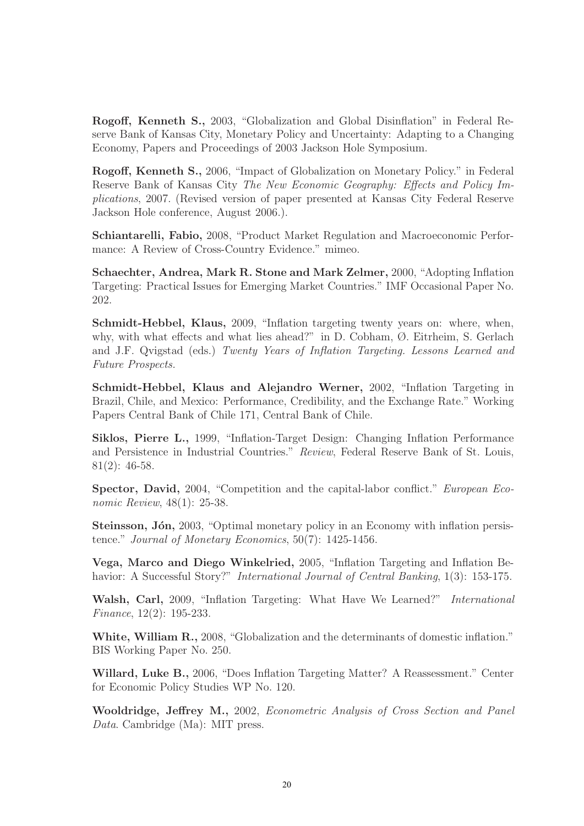**Rogoff, Kenneth S.,** 2003, "Globalization and Global Disinflation" in Federal Reserve Bank of Kansas City, Monetary Policy and Uncertainty: Adapting to a Changing Economy, Papers and Proceedings of 2003 Jackson Hole Symposium.

**Rogoff, Kenneth S.,** 2006, "Impact of Globalization on Monetary Policy." in Federal Reserve Bank of Kansas City The New Economic Geography: Effects and Policy Implications, 2007. (Revised version of paper presented at Kansas City Federal Reserve Jackson Hole conference, August 2006.).

**Schiantarelli, Fabio,** 2008, "Product Market Regulation and Macroeconomic Performance: A Review of Cross-Country Evidence." mimeo.

**Schaechter, Andrea, Mark R. Stone and Mark Zelmer,** 2000, "Adopting Inflation Targeting: Practical Issues for Emerging Market Countries." IMF Occasional Paper No. 202.

**Schmidt-Hebbel, Klaus,** 2009, "Inflation targeting twenty years on: where, when, why, with what effects and what lies ahead?" in D. Cobham, Ø. Eitrheim, S. Gerlach and J.F. Qvigstad (eds.) Twenty Years of Inflation Targeting. Lessons Learned and Future Prospects.

**Schmidt-Hebbel, Klaus and Alejandro Werner,** 2002, "Inflation Targeting in Brazil, Chile, and Mexico: Performance, Credibility, and the Exchange Rate." Working Papers Central Bank of Chile 171, Central Bank of Chile.

**Siklos, Pierre L.,** 1999, "Inflation-Target Design: Changing Inflation Performance and Persistence in Industrial Countries." Review, Federal Reserve Bank of St. Louis, 81(2): 46-58.

**Spector, David,** 2004, "Competition and the capital-labor conflict." *European Eco*nomic Review, 48(1): 25-38.

**Steinsson, Jón,** 2003, "Optimal monetary policy in an Economy with inflation persistence." Journal of Monetary Economics, 50(7): 1425-1456.

**Vega, Marco and Diego Winkelried,** 2005, "Inflation Targeting and Inflation Behavior: A Successful Story?" *International Journal of Central Banking*, 1(3): 153-175.

**Walsh, Carl,** 2009, "Inflation Targeting: What Have We Learned?" International Finance, 12(2): 195-233.

**White, William R.,** 2008, "Globalization and the determinants of domestic inflation." BIS Working Paper No. 250.

**Willard, Luke B.,** 2006, "Does Inflation Targeting Matter? A Reassessment." Center for Economic Policy Studies WP No. 120.

**Wooldridge, Jeffrey M.,** 2002, Econometric Analysis of Cross Section and Panel Data. Cambridge (Ma): MIT press.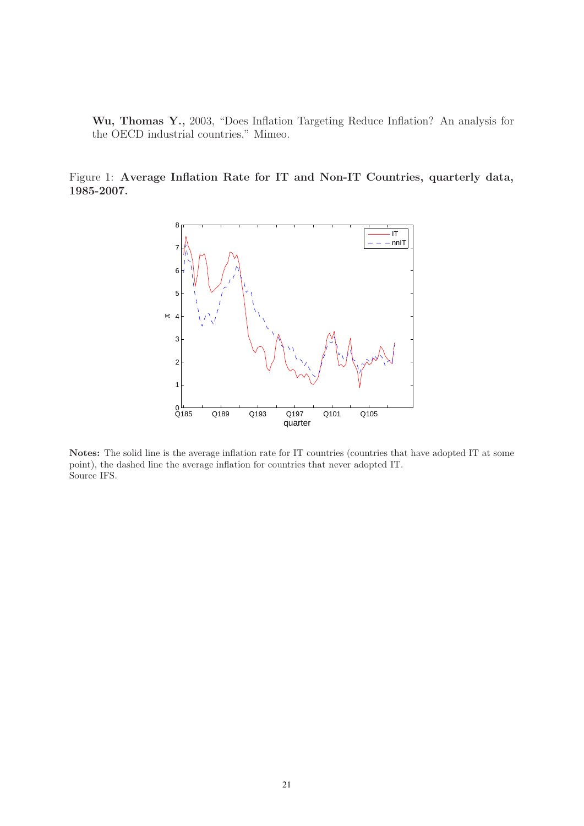**Wu, Thomas Y.,** 2003, "Does Inflation Targeting Reduce Inflation? An analysis for the OECD industrial countries." Mimeo.

Figure 1: **Average Inflation Rate for IT and Non-IT Countries, quarterly data, 1985-2007.**



**Notes:** The solid line is the average inflation rate for IT countries (countries that have adopted IT at some point), the dashed line the average inflation for countries that never adopted IT. Source IFS.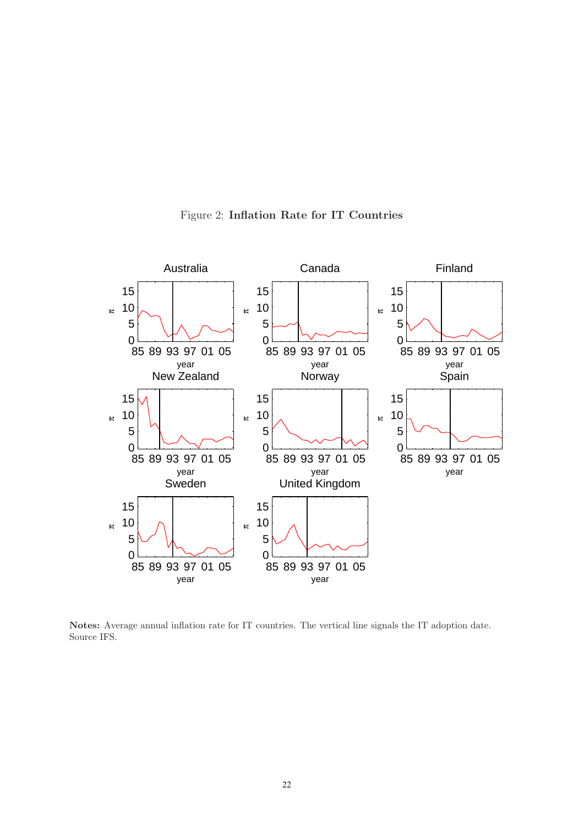

Figure 2: **Inflation Rate for IT Countries**

**Notes:** Average annual inflation rate for IT countries. The vertical line signals the IT adoption date. Source IFS.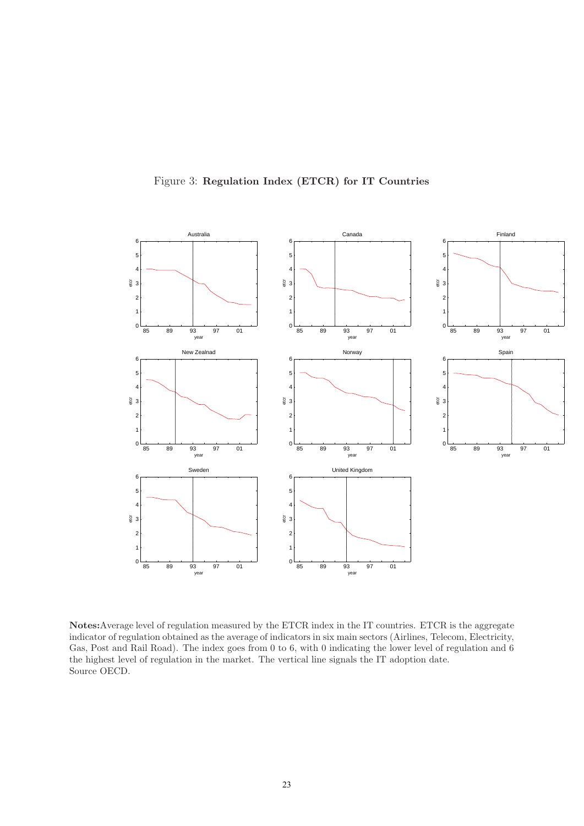

Figure 3: **Regulation Index (ETCR) for IT Countries**

**Notes:**Average level of regulation measured by the ETCR index in the IT countries. ETCR is the aggregate indicator of regulation obtained as the average of indicators in six main sectors (Airlines, Telecom, Electricity, Gas, Post and Rail Road). The index goes from 0 to 6, with 0 indicating the lower level of regulation and 6 the highest level of regulation in the market. The vertical line signals the IT adoption date. Source OECD.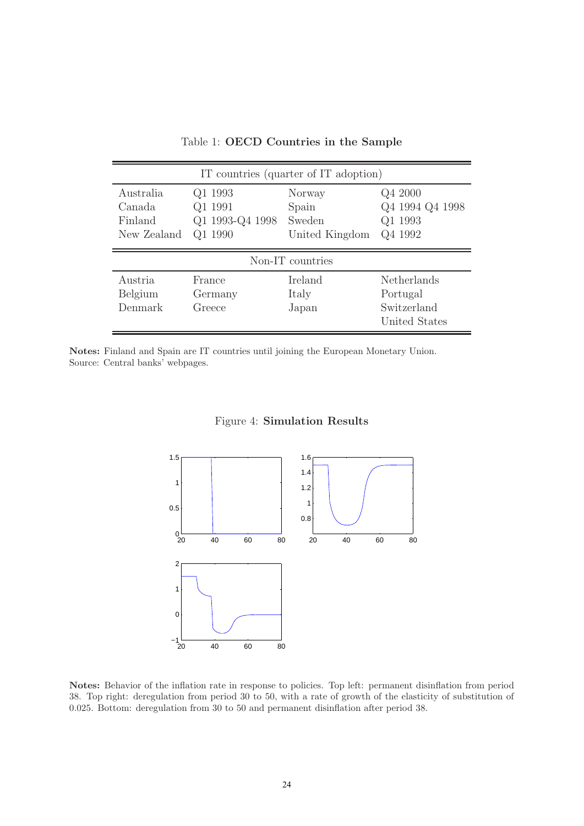|                                               |                                                  | IT countries (quarter of IT adoption)       |                                                                |
|-----------------------------------------------|--------------------------------------------------|---------------------------------------------|----------------------------------------------------------------|
| Australia<br>Canada<br>Finland<br>New Zealand | Q1 1993<br>Q1 1991<br>Q1 1993-Q4 1998<br>Q1 1990 | Norway<br>Spain<br>Sweden<br>United Kingdom | Q4 2000<br>Q4 1994 Q4 1998<br>Q1 1993<br>Q4 1992               |
|                                               |                                                  | Non-IT countries                            |                                                                |
| Austria<br>Belgium<br>Denmark                 | France<br>Germany<br>Greece                      | Ireland<br>Italy<br>Japan                   | <b>Netherlands</b><br>Portugal<br>Switzerland<br>United States |

Table 1: **OECD Countries in the Sample**

**Notes:** Finland and Spain are IT countries until joining the European Monetary Union. Source: Central banks' webpages.



#### Figure 4: **Simulation Results**

**Notes:** Behavior of the inflation rate in response to policies. Top left: permanent disinflation from period 38. Top right: deregulation from period 30 to 50, with a rate of growth of the elasticity of substitution of 0.025. Bottom: deregulation from 30 to 50 and permanent disinflation after period 38.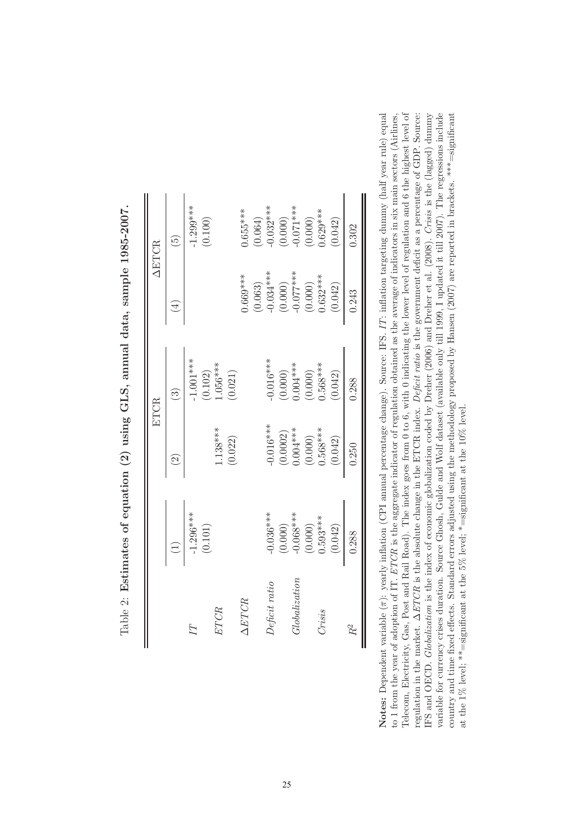|                |                       |                          | ETCR                    |                         | <b>AETCR</b>                                      |
|----------------|-----------------------|--------------------------|-------------------------|-------------------------|---------------------------------------------------|
|                |                       | $\widetilde{\varrho}$    | ල                       | $\overline{4}$          | $\widetilde{\mathfrak{G}}$                        |
| $\overline{A}$ | $-1.296***$           |                          | $-1.001***$             |                         | $1.299***$                                        |
|                | (0.101)               |                          |                         |                         | (0.100)                                           |
| ETCR           |                       | $1.138***$               | $(0.102)$<br>1.056***   |                         |                                                   |
|                |                       | (0.022)                  | (0.021)                 |                         |                                                   |
| $\Delta ETCR$  |                       |                          |                         | $0.669***$              | $0.655***$                                        |
|                |                       |                          |                         | (0.063)                 |                                                   |
| Deficit ratio  | $-0.036***$           | $-0.016***$              | $0.016***$              | $-0.034***$             | $(0.064)$<br>-0.032***                            |
|                | (0.000)               | $(0.0002)$<br>$0.004***$ |                         | $(0.000)$<br>-0.077***  | $(0.000)$<br>-0.071 ***<br>$(0.000)$<br>0.629 *** |
| Globalization  | $-0.068***$           |                          | $(0.000)$<br>$0.004***$ |                         |                                                   |
|                |                       |                          | $(0.000)$<br>$0.568***$ | $(0.000)$<br>$0.632***$ |                                                   |
| Crisis         | $(0.000)$<br>0.593*** | $(0.000)$<br>$0.568***$  |                         |                         |                                                   |
|                | (0.042)               | (0.042)                  | (0.042)                 | (0.042)                 | (0.042)                                           |
| $R^2$          | 0.288                 | 0.250                    | 0.288                   | 0.243                   | 0.302                                             |

Table 2: Estimates of equation (2) using GLS, annual data, sample 1985-2007. Table 2: **Estimates of equation (2) using GLS, annual data, sample 1985-2007.** Notes: Dependent variable  $(\pi)$ : yearly inflation (CPI annual percentage change). Source: IFS. IT: inflation targeting dummy (half year rule) equal to 1 from the year of adoption of IT. ETCR is the aggregate indicator of regulation obtained as the average of indicators in six main sectors (Airlines, Telecom, Electricity, Gas, Post and Rail Road). The index goes from 0 to 6, with 0 indicating the lower level of regulation and 6 the highest level of regulation in the market.  $\Delta ETCR$  is the absolute change in the ETCR index. Deficit ratio is the government deficit as a percentage of GDP. Source: IFS and OECD. Globalization is the index of economic globalization coded by Dreher (2006) and Dreher et al. (2008). Crisis is the (lagged) dummy variable for currency crises duration. Source Ghosh, Gulde and Wolf dataset (available only till 1999, I updated it till 2007). The regressions include **Notes:** Dependent variable (π): yearly inflation (CPI annual percentage change). Source: IFS. IT: inflation targeting dummy (half year rule) equal Telecom, Electricity, Gas, Post and Rail Road). The index goes from 0 to 6, with 0 indicating the lower level of regulation and 6 the highest level of IFS and OECD. Globalization is the index of economic globalization coded by Dreher (2006) and Dreher et al. (2008). Crisis is the (lagged) dummy country and time fixed effects. Standard errors adjusted using the methodology proposed by Hansen  $(2007)$  are reported in brackets. \*\*\*=significant to 1 from the year of adoption of IT. ETCR is the aggregate indicator of regulation obtained as the average of indicators in six main sectors (Airlines, regulation in the market.  $\Delta ETCR$  is the absolute change in the ETCR index. Deficit ratio is the government deficit as a percentage of GDP. Source: variable for currency crises duration. Source Ghosh, Gulde and Wolf dataset (available only till 1999, I updated it till 2007). The regressions include country and time fixed effects. Standard errors adjusted using the methodology proposed by Hansen (2007) are reported in brackets. \*\*\*=significant at the 1% level; \*\*=significant at the 5% level; \*=significant at the 10% level. at the 1% level; \*\*=significant at the 5% level; \*=significant at the 10% level.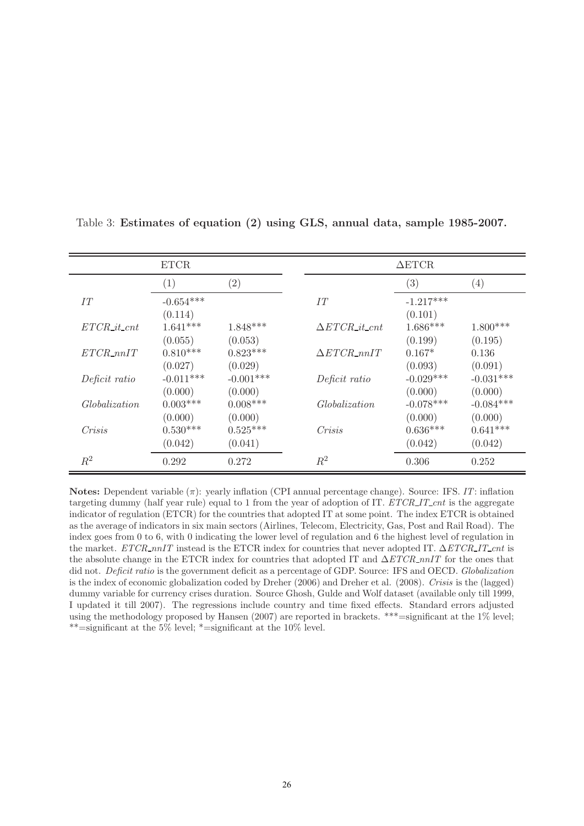|                      | <b>ETCR</b>     |                   |                        | $\Delta$ ETCR. |             |
|----------------------|-----------------|-------------------|------------------------|----------------|-------------|
|                      | (1)             | $\left( 2\right)$ |                        | (3)            | (4)         |
| IT                   | $-0.654***$     |                   | IT                     | $-1.217***$    |             |
|                      | (0.114)         |                   |                        | (0.101)        |             |
| $ETCR\_it\_cnt$      | $1.641***$      | $1.848***$        | $\Delta ETCR\_it\_cnt$ | $1.686***$     | $1.800***$  |
|                      | (0.055)         | (0.053)           |                        | (0.199)        | (0.195)     |
| $ETCR\_nnIT$         | $0.810***$      | $0.823***$        | $\Delta ETCR\_nnIT$    | $0.167*$       | 0.136       |
|                      | (0.027)         | (0.029)           |                        | (0.093)        | (0.091)     |
| Deficit ratio        | $-0.011***$     | $-0.001***$       | Deficit ratio          | $-0.029***$    | $-0.031***$ |
|                      | (0.000)         | (0.000)           |                        | (0.000)        | (0.000)     |
| <i>Globalization</i> | $0.003^{***}\,$ | $0.008***$        | Globalization          | $-0.078***$    | $-0.084***$ |
|                      | (0.000)         | (0.000)           |                        | (0.000)        | (0.000)     |
| Crisis               | $0.530***$      | $0.525***$        | Crisis                 | $0.636***$     | $0.641***$  |
|                      | (0.042)         | (0.041)           |                        | (0.042)        | (0.042)     |
| $\,R^2$              | 0.292           | 0.272             | $\,R^2$                | 0.306          | 0.252       |

Table 3: **Estimates of equation (2) using GLS, annual data, sample 1985-2007.**

**Notes:** Dependent variable (π): yearly inflation (CPI annual percentage change). Source: IFS. IT: inflation targeting dummy (half year rule) equal to 1 from the year of adoption of IT. ETCR\_IT\_cnt is the aggregate indicator of regulation (ETCR) for the countries that adopted IT at some point. The index ETCR is obtained as the average of indicators in six main sectors (Airlines, Telecom, Electricity, Gas, Post and Rail Road). The index goes from 0 to 6, with 0 indicating the lower level of regulation and 6 the highest level of regulation in the market. ETCR\_nnIT instead is the ETCR index for countries that never adopted IT. ΔETCR\_IT\_cnt is the absolute change in the ETCR index for countries that adopted IT and  $\Delta ETCR\_nnIT$  for the ones that did not. Deficit ratio is the government deficit as a percentage of GDP. Source: IFS and OECD. Globalization is the index of economic globalization coded by Dreher (2006) and Dreher et al. (2008). Crisis is the (lagged) dummy variable for currency crises duration. Source Ghosh, Gulde and Wolf dataset (available only till 1999, I updated it till 2007). The regressions include country and time fixed effects. Standard errors adjusted using the methodology proposed by Hansen (2007) are reported in brackets. \*\*\*=significant at the 1% level; \*\*=significant at the 5% level; \*=significant at the 10% level.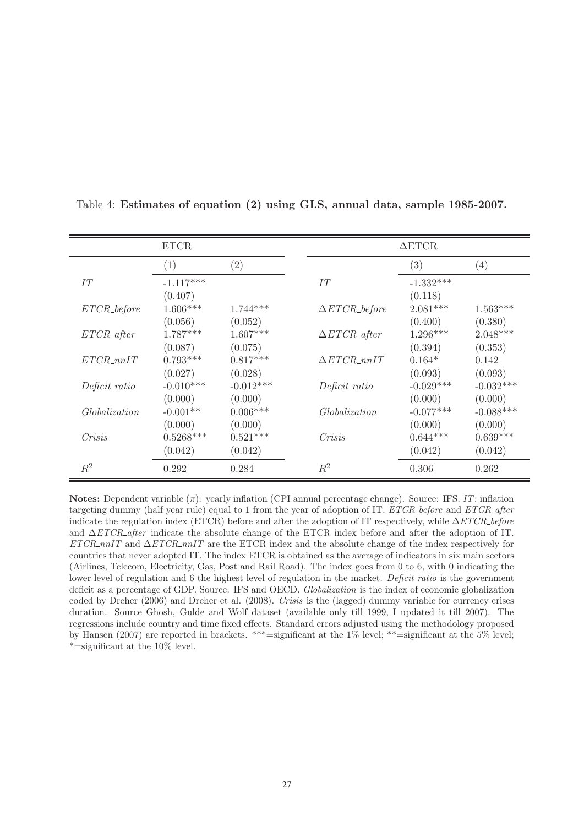|                | <b>ETCR</b>             |             |                                  | $\triangle ETCR$  |             |
|----------------|-------------------------|-------------|----------------------------------|-------------------|-------------|
|                | (1)                     | (2)         |                                  | $\left( 3\right)$ | (4)         |
| IT             | $-1.117***$             |             | IT                               | $-1.332***$       |             |
|                | (0.407)                 |             |                                  | (0.118)           |             |
| $ETCR\_before$ | $1.606***$              | $1.744***$  | $\triangle ETCR\_before$         | $2.081***$        | $1.563***$  |
|                | (0.056)                 | (0.052)     |                                  | (0.400)           | (0.380)     |
| $ETCR\_after$  | $1.787***$              | $1.607***$  | $\triangle ETCR_{\text{-}after}$ | $1.296***$        | $2.048***$  |
|                | (0.087)                 | (0.075)     |                                  | (0.394)           | (0.353)     |
| $ETCR\_nnIT$   | $0.793***$              | $0.817***$  | $\Delta ETCR\_nnIT$              | $0.164*$          | 0.142       |
|                | (0.027)                 | (0.028)     |                                  | (0.093)           | (0.093)     |
| Deficit ratio  | $-0.010***$             | $-0.012***$ | Deficit ratio                    | $-0.029***$       | $-0.032***$ |
|                | (0.000)                 | (0.000)     |                                  | (0.000)           | (0.000)     |
| Globalization  | $-0.001**$              | $0.006***$  | Globalization                    | $-0.077***$       | $-0.088***$ |
|                | (0.000)                 | (0.000)     |                                  | (0.000)           | (0.000)     |
| Crisis         | $0.5268^{\ast\ast\ast}$ | $0.521***$  | Crisis                           | $0.644***$        | $0.639***$  |
|                | (0.042)                 | (0.042)     |                                  | (0.042)           | (0.042)     |
| $R^2$          | 0.292                   | 0.284       | $\,R^2$                          | 0.306             | 0.262       |

Table 4: **Estimates of equation (2) using GLS, annual data, sample 1985-2007.**

**Notes:** Dependent variable (π): yearly inflation (CPI annual percentage change). Source: IFS. IT: inflation targeting dummy (half year rule) equal to 1 from the year of adoption of IT. ETCR before and ETCR after indicate the regulation index (ETCR) before and after the adoption of IT respectively, while  $\Delta ETCR$  before and  $\Delta ETCR_{a}$ fter indicate the absolute change of the ETCR index before and after the adoption of IT.  $ETCR\_nnIT$  and  $\Delta ETCR\_nnIT$  are the ETCR index and the absolute change of the index respectively for countries that never adopted IT. The index ETCR is obtained as the average of indicators in six main sectors (Airlines, Telecom, Electricity, Gas, Post and Rail Road). The index goes from 0 to 6, with 0 indicating the lower level of regulation and 6 the highest level of regulation in the market. Deficit ratio is the government deficit as a percentage of GDP. Source: IFS and OECD. Globalization is the index of economic globalization coded by Dreher (2006) and Dreher et al. (2008). Crisis is the (lagged) dummy variable for currency crises duration. Source Ghosh, Gulde and Wolf dataset (available only till 1999, I updated it till 2007). The regressions include country and time fixed effects. Standard errors adjusted using the methodology proposed by Hansen (2007) are reported in brackets. \*\*\*=significant at the 1% level; \*\*=significant at the 5% level; \*=significant at the 10% level.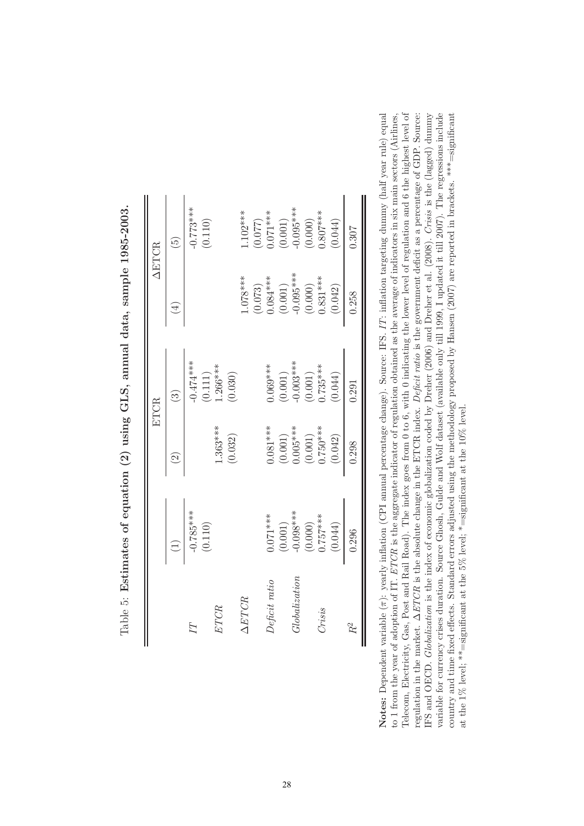|               |                          |                       | ETCR                                            |                                                                             | <b>AETCR</b>                                    |
|---------------|--------------------------|-----------------------|-------------------------------------------------|-----------------------------------------------------------------------------|-------------------------------------------------|
|               |                          | $\widetilde{\Omega}$  | $\left(\frac{3}{2}\right)$                      | Ā                                                                           | $\widetilde{\Xi}$                               |
| F             | $-0.785***$              |                       | $-0.474***$                                     |                                                                             | $0.773***$                                      |
|               | (0.110)                  |                       | $(0.111)$<br>1.266***                           |                                                                             | (0.110)                                         |
| ETCR          |                          | $.363***$             |                                                 |                                                                             |                                                 |
|               |                          | (0.032)               | (0.030)                                         |                                                                             |                                                 |
| AETCR         |                          |                       |                                                 | $-078***$                                                                   | $.102***$                                       |
|               |                          |                       |                                                 |                                                                             |                                                 |
| Deficit ratio | $0.071***$               | $0.081***$            | $0.069***$                                      | $(0.073)$<br>0.084***                                                       | $(0.077)$<br>0.077***                           |
|               |                          |                       |                                                 | $\begin{array}{c} (0.001) \\ -0.095*** \\ (0.000) \\ (0.831*** \end{array}$ | $(0.001)$<br>-0.095***<br>$(0.000)$<br>0.807*** |
| Globalization | $(0.001)$<br>$-0.098***$ | $(0.001)$<br>0.005*** |                                                 |                                                                             |                                                 |
|               |                          |                       | $(0.001)$<br>-0.003***<br>$(0.001)$<br>0.735*** |                                                                             |                                                 |
| Crisis        | $(0.000)$<br>0.757***    | $(0.001)$<br>0.750*** |                                                 |                                                                             |                                                 |
|               | (0.044)                  | (0.042)               | (0.044)                                         | (0.042)                                                                     | (0.044)                                         |
| $R^2$         | 0.296                    | 0.298                 | 0.291                                           | 0.258                                                                       | 0.307                                           |

Table 5: Estimates of equation (2) using GLS, annual data, sample 1985-2003. Table 5: **Estimates of equation (2) using GLS, annual data, sample 1985-2003.**

Notes: Dependent variable  $(\pi)$ : yearly inflation (CPI annual percentage change). Source: IFS. IT: inflation targeting dummy (half year rule) equal to 1 from the year of adoption of IT. ETCR is the aggregate indicator of regulation obtained as the average of indicators in six main sectors (Airlines, Telecom, Electricity, Gas, Post and Rail Road). The index goes from 0 to 6, with 0 indicating the lower level of regulation and 6 the highest level of regulation in the market.  $\Delta ETCR$  is the absolute change in the ETCR index. Deficit ratio is the government deficit as a percentage of GDP. Source: IFS and OECD. Globalization is the index of economic globalization coded by Dreher (2006) and Dreher et al. (2008). Crisis is the (lagged) dummy variable for currency crises duration. Source Ghosh, Gulde and Wolf dataset (available only till 1999, I updated it till 2007). The regressions include **Notes:** Dependent variable (π): yearly inflation (CPI annual percentage change). Source: IFS. IT: inflation targeting dummy (half year rule) equal Telecom, Electricity, Gas, Post and Rail Road). The index goes from 0 to 6, with 0 indicating the lower level of regulation and 6 the highest level of IFS and OECD. Globalization is the index of economic globalization coded by Dreher (2006) and Dreher et al. (2008). Crisis is the (lagged) dummy country and time fixed effects. Standard errors adjusted using the methodology proposed by Hansen  $(2007)$  are reported in brackets. \*\*\*=significant to 1 from the year of adoption of IT. ETCR is the aggregate indicator of regulation obtained as the average of indicators in six main sectors (Airlines, regulation in the market.  $\Delta ETCR$  is the absolute change in the ETCR index. Deficit ratio is the government deficit as a percentage of GDP. Source: variable for currency crises duration. Source Ghosh, Gulde and Wolf dataset (available only till 1999, I updated it till 2007). The regressions include country and time fixed effects. Standard errors adjusted using the methodology proposed by Hansen (2007) are reported in brackets. \*\*\*=significant at the 1% level; \*\*=significant at the 5% level; \*=significant at the 10% level. at the 1% level; \*\*=significant at the 5% level; \*=significant at the 10% level.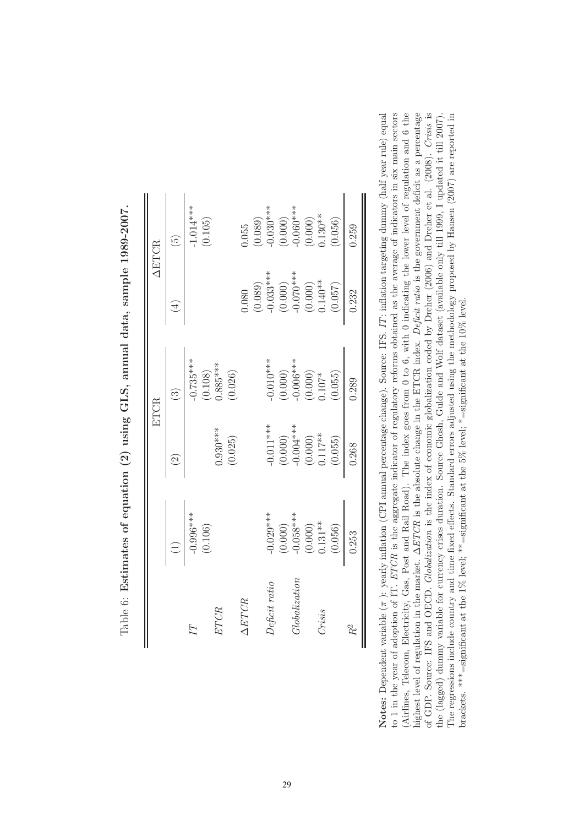|               |                      |                          | ETCR                     |                                                    | <b>AETCR</b>               |
|---------------|----------------------|--------------------------|--------------------------|----------------------------------------------------|----------------------------|
|               |                      | $\widetilde{\Omega}$     | $\widehat{\mathfrak{S}}$ | $\overline{4}$                                     | $\widetilde{\mathfrak{G}}$ |
|               | $-0.996***$          |                          | $-0.735***$              |                                                    | $-1.014***$                |
|               | (0.106)              |                          |                          |                                                    | (0.105)                    |
| ETCR          |                      | $0.930***$               | $(0.108)$<br>$0.885***$  |                                                    |                            |
|               |                      | (0.025)                  | (0.026)                  |                                                    |                            |
| AETCR         |                      |                          |                          | 080.                                               | 1.055                      |
|               |                      |                          |                          |                                                    |                            |
| Deficit ratio | $-0.029***$          | $-0.011***$              | $0.010***$               |                                                    | $(0.089)$<br>$-0.030***$   |
|               | (0.000)              |                          |                          | $(0.089)$<br>$-0.033***$<br>$(0.000)$<br>$(0.000)$ |                            |
| Globalization | $-0.058***$          | $(0.000)$<br>$-0.004***$ | $(0.000)$<br>-0.006***   |                                                    | $(0.000)$<br>-0.060***     |
|               |                      | $(0.000)$<br>0.117**     | $(0.000)$<br>0.107*      | $(0.000)$<br>$0.140**$                             | $(0.000)$<br>$0.130**$     |
| Crisis        | $(0.000)$<br>0.131** |                          |                          |                                                    |                            |
|               | (0.056)              | (0.055)                  | (0.055)                  | (0.057)                                            | (0.056)                    |
| $R^2$         | 0.253                | 0.268                    | 0.289                    | 0.232                                              | 0.259                      |

Table 6: Estimates of equation (2) using GLS, annual data, sample 1989-2007. Table 6: **Estimates of equation (2) using GLS, annual data, sample 1989-2007.**

nighest level of regulation in the market.  $\Delta ETCR$  is the absolute change in the ETCR index. Deficit ratio is the government deficit as a percentage of GDP. Source: IFS and OECD. Globalization is the index of economic globalization coded by Dreher (2006) and Dreher et al. (2008). Crisis is Notes: Dependent variable  $(\pi)$ : yearly inflation (CPI annual percentage change). Source: IFS. IT: inflation targeting dummy (half year rule) equal to 1 in the year of adoption of IT. ETCR is the aggregate indicator of regulatory reforms obtained as the average of indicators in six main sectors Airlines, Telecom, Electricity, Gas, Post and Rail Road). The index goes from 0 to 6, with 0 indicating the lower level of regulation and 6 the the (lagged) dummy variable for currency crises duration. Source Ghosh, Gulde and Wolf dataset (available only till 1999, I updated it till 2007). The regressions include country and time fixed effects. Standard errors adjusted using the methodology proposed by Hansen (2007) are reported in **Notes:** Dependent variable ( $\pi$ ): yearly inflation (CPI annual percentage change). Source: IFS. IT: inflation targeting dummy (half year rule) equal to 1 in the year of adoption of IT. ETCR is the aggregate indicator of regulatory reforms obtained as the average of indicators in six main sectors highest level of regulation in the market.  $\Delta ETCR$  is the absolute change in the ETCR index. Deficit ratio is the government deficit as a percentage (Airlines, Telecom, Electricity, Gas, Post and Rail Road). The index goes from 0 to 6, with 0 indicating the lower level of regulation and 6 the of GDP. Source: IFS and OECD. Globalization is the index of economic globalization coded by Dreher (2006) and Dreher et al. (2008). Crisis is the (lagged) dummy variable for currency crises duration. Source Ghosh, Gulde and Wolf dataset (available only till 1999, I updated it till 2007). The regressions include country and time fixed effects. Standard errors adjusted using the methodology proposed by Hansen (2007) are reported in brackets. \*\*\* $=$ significant at the 1% level; \*\* $=$ significant at the 5% level; \* $=$ significant at the 10% level. brackets. \*\*\*=significant at the 1% level; \*\*=significant at the 5% level; \*=significant at the 10% level.